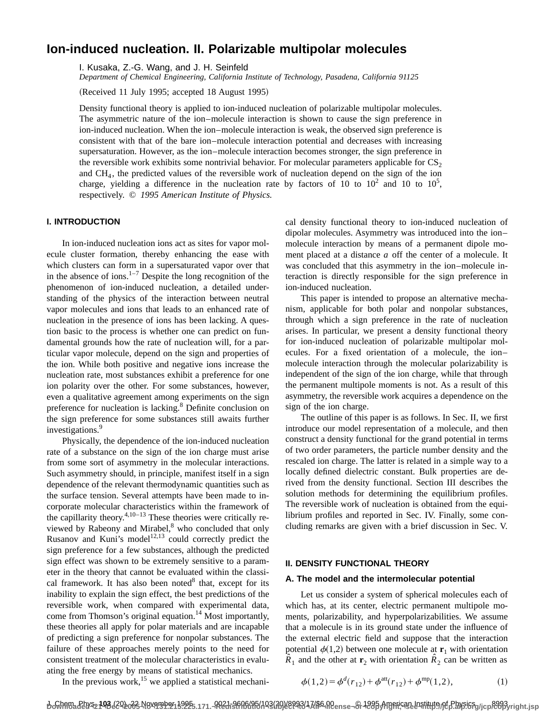# **Ion-induced nucleation. II. Polarizable multipolar molecules**

I. Kusaka, Z.-G. Wang, and J. H. Seinfeld

*Department of Chemical Engineering, California Institute of Technology, Pasadena, California 91125*

 $(Received 11 July 1995; accepted 18 August 1995)$ 

Density functional theory is applied to ion-induced nucleation of polarizable multipolar molecules. The asymmetric nature of the ion–molecule interaction is shown to cause the sign preference in ion-induced nucleation. When the ion–molecule interaction is weak, the observed sign preference is consistent with that of the bare ion–molecule interaction potential and decreases with increasing supersaturation. However, as the ion–molecule interaction becomes stronger, the sign preference in the reversible work exhibits some nontrivial behavior. For molecular parameters applicable for  $CS<sub>2</sub>$ and  $CH<sub>4</sub>$ , the predicted values of the reversible work of nucleation depend on the sign of the ion charge, yielding a difference in the nucleation rate by factors of 10 to  $10^2$  and 10 to  $10^5$ , respectively. © *1995 American Institute of Physics.*

# **I. INTRODUCTION**

In ion-induced nucleation ions act as sites for vapor molecule cluster formation, thereby enhancing the ease with which clusters can form in a supersaturated vapor over that in the absence of ions. $1-7$  Despite the long recognition of the phenomenon of ion-induced nucleation, a detailed understanding of the physics of the interaction between neutral vapor molecules and ions that leads to an enhanced rate of nucleation in the presence of ions has been lacking. A question basic to the process is whether one can predict on fundamental grounds how the rate of nucleation will, for a particular vapor molecule, depend on the sign and properties of the ion. While both positive and negative ions increase the nucleation rate, most substances exhibit a preference for one ion polarity over the other. For some substances, however, even a qualitative agreement among experiments on the sign preference for nucleation is lacking.<sup>8</sup> Definite conclusion on the sign preference for some substances still awaits further investigations.<sup>9</sup>

Physically, the dependence of the ion-induced nucleation rate of a substance on the sign of the ion charge must arise from some sort of asymmetry in the molecular interactions. Such asymmetry should, in principle, manifest itself in a sign dependence of the relevant thermodynamic quantities such as the surface tension. Several attempts have been made to incorporate molecular characteristics within the framework of the capillarity theory. $4,10-13$  These theories were critically reviewed by Rabeony and Mirabel,<sup>8</sup> who concluded that only Rusanov and Kuni's model<sup>12,13</sup> could correctly predict the sign preference for a few substances, although the predicted sign effect was shown to be extremely sensitive to a parameter in the theory that cannot be evaluated within the classical framework. It has also been noted $8$  that, except for its inability to explain the sign effect, the best predictions of the reversible work, when compared with experimental data, come from Thomson's original equation.<sup>14</sup> Most importantly, these theories all apply for polar materials and are incapable of predicting a sign preference for nonpolar substances. The failure of these approaches merely points to the need for consistent treatment of the molecular characteristics in evaluating the free energy by means of statistical mechanics.

cal density functional theory to ion-induced nucleation of dipolar molecules. Asymmetry was introduced into the ion– molecule interaction by means of a permanent dipole moment placed at a distance *a* off the center of a molecule. It was concluded that this asymmetry in the ion–molecule interaction is directly responsible for the sign preference in ion-induced nucleation.

This paper is intended to propose an alternative mechanism, applicable for both polar and nonpolar substances, through which a sign preference in the rate of nucleation arises. In particular, we present a density functional theory for ion-induced nucleation of polarizable multipolar molecules. For a fixed orientation of a molecule, the ion– molecule interaction through the molecular polarizability is independent of the sign of the ion charge, while that through the permanent multipole moments is not. As a result of this asymmetry, the reversible work acquires a dependence on the sign of the ion charge.

The outline of this paper is as follows. In Sec. II, we first introduce our model representation of a molecule, and then construct a density functional for the grand potential in terms of two order parameters, the particle number density and the rescaled ion charge. The latter is related in a simple way to a locally defined dielectric constant. Bulk properties are derived from the density functional. Section III describes the solution methods for determining the equilibrium profiles. The reversible work of nucleation is obtained from the equilibrium profiles and reported in Sec. IV. Finally, some concluding remarks are given with a brief discussion in Sec. V.

# **II. DENSITY FUNCTIONAL THEORY**

### **A. The model and the intermolecular potential**

Let us consider a system of spherical molecules each of which has, at its center, electric permanent multipole moments, polarizability, and hyperpolarizabilities. We assume that a molecule is in its ground state under the influence of the external electric field and suppose that the interaction potential  $\phi(1,2)$  between one molecule at **r**<sub>1</sub> with orientation  $R_1$  and the other at  $\mathbf{r}_2$  with orientation  $R_2$  can be written as

In the previous work,  $15$  we applied a statistical mechani-

$$
\phi(1,2) = \phi^d(r_{12}) + \phi^{\text{att}}(r_{12}) + \phi^{\text{mp}}(1,2),\tag{1}
$$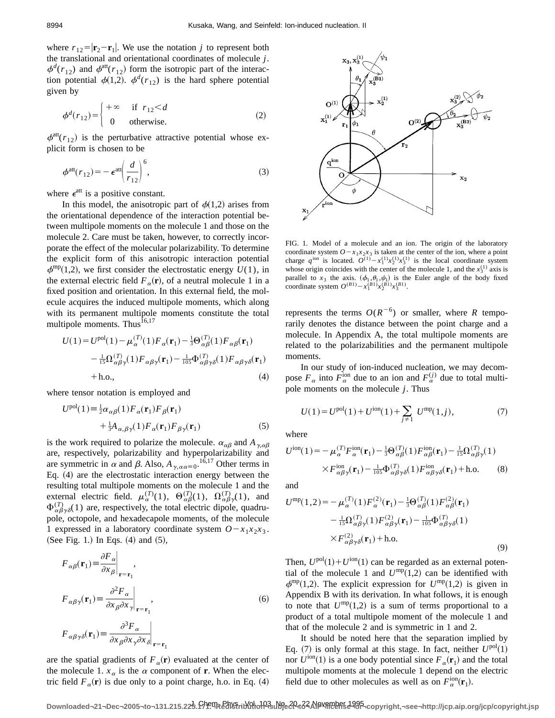where  $r_{12} = |\mathbf{r}_2 - \mathbf{r}_1|$ . We use the notation *j* to represent both the translational and orientational coordinates of molecule *j*.  $\phi^d(r_{12})$  and  $\phi^{at}(r_{12})$  form the isotropic part of the interaction potential  $\phi(1,2)$ .  $\phi^d(r_{12})$  is the hard sphere potential given by

$$
\phi^d(r_{12}) = \begin{cases} +\infty & \text{if } r_{12} < d \\ 0 & \text{otherwise.} \end{cases}
$$
 (2)

 $\phi^{\text{att}}(r_{12})$  is the perturbative attractive potential whose explicit form is chosen to be

$$
\phi^{\text{att}}(r_{12}) = -\epsilon^{\text{att}} \left(\frac{d}{r_{12}}\right)^6,\tag{3}
$$

where  $\epsilon^{\text{att}}$  is a positive constant.

In this model, the anisotropic part of  $\phi(1,2)$  arises from the orientational dependence of the interaction potential between multipole moments on the molecule 1 and those on the molecule 2. Care must be taken, however, to correctly incorporate the effect of the molecular polarizability. To determine the explicit form of this anisotropic interaction potential  $\phi^{\text{mp}}(1,2)$ , we first consider the electrostatic energy  $U(1)$ , in the external electric field  $F_{\alpha}(\mathbf{r})$ , of a neutral molecule 1 in a fixed position and orientation. In this external field, the molecule acquires the induced multipole moments, which along with its permanent multipole moments constitute the total multipole moments. Thus $^{16,17}$ 

$$
U(1) = U^{\text{pol}}(1) - \mu_{\alpha}^{(T)}(1) F_{\alpha}(\mathbf{r}_{1}) - \frac{1}{3} \Theta_{\alpha\beta}^{(T)}(1) F_{\alpha\beta}(\mathbf{r}_{1}) - \frac{1}{15} \Omega_{\alpha\beta\gamma}^{(T)}(1) F_{\alpha\beta\gamma}(\mathbf{r}_{1}) - \frac{1}{105} \Phi_{\alpha\beta\gamma\delta}^{(T)}(1) F_{\alpha\beta\gamma\delta}(\mathbf{r}_{1}) + \text{h.o.,}
$$
\n(4)

where tensor notation is employed and

$$
U^{\text{pol}}(1) \equiv \frac{1}{2} \alpha_{\alpha\beta}(1) F_{\alpha}(\mathbf{r}_{1}) F_{\beta}(\mathbf{r}_{1}) + \frac{1}{3} A_{\alpha,\beta\gamma}(1) F_{\alpha}(\mathbf{r}_{1}) F_{\beta\gamma}(\mathbf{r}_{1})
$$
\n(5)

is the work required to polarize the molecule.  $\alpha_{\alpha\beta}$  and  $A_{\gamma,\alpha\beta}$ are, respectively, polarizability and hyperpolarizability and are symmetric in  $\alpha$  and  $\beta$ . Also,  $A_{\gamma,\alpha\alpha=0}$ .<sup>16,17</sup> Other terms in Eq.  $(4)$  are the electrostatic interaction energy between the resulting total multipole moments on the molecule 1 and the external electric field.  $\mu_{\alpha}^{(T)}(1)$ ,  $\Theta_{\alpha\beta}^{(T)}(1)$ ,  $\Omega_{\alpha\beta\gamma}^{(T)}(1)$ , and  $\Phi_{\alpha\beta\gamma\delta}^{(T)}(1)$  are, respectively, the total electric dipole, quadrupole, octopole, and hexadecapole moments, of the molecule 1 expressed in a laboratory coordinate system  $O-x_1x_2x_3$ . (See Fig. 1.) In Eqs.  $(4)$  and  $(5)$ ,

$$
F_{\alpha\beta}(\mathbf{r}_{1}) = \frac{\partial F_{\alpha}}{\partial x_{\beta}}\Big|_{\mathbf{r} = \mathbf{r}_{1}},
$$
  
\n
$$
F_{\alpha\beta\gamma}(\mathbf{r}_{1}) = \frac{\partial^{2} F_{\alpha}}{\partial x_{\beta} \partial x_{\gamma}}\Big|_{\mathbf{r} = \mathbf{r}_{1}},
$$
  
\n
$$
F_{\alpha\beta\gamma\delta}(\mathbf{r}_{1}) = \frac{\partial^{3} F_{\alpha}}{\partial x_{\beta} \partial x_{\gamma} \partial x_{\delta}}\Big|_{\mathbf{r} = \mathbf{r}_{1}}
$$
  
\n(6)

are the spatial gradients of  $F_\alpha(\mathbf{r})$  evaluated at the center of the molecule 1.  $x_{\alpha}$  is the  $\alpha$  component of **r**. When the electric field  $F_{\alpha}(\mathbf{r})$  is due only to a point charge, h.o. in Eq. (4)



FIG. 1. Model of a molecule and an ion. The origin of the laboratory coordinate system  $O - x_1 x_2 x_3$  is taken at the center of the ion, where a point charge  $q^{\text{ion}}$  is located.  $O^{(1)} - x_1^{(1)} x_2^{(1)} x_3^{(1)}$  is the local coordinate system whose origin coincides with the center of the molecule 1, and the  $x_3^{(1)}$  axis is parallel to  $x_3$  the axis.  $(\phi_1, \theta_1, \psi_1)$  is the Euler angle of the body fixed coordinate system  $O^{(B1)} - x_1^{(B1)} x_2^{(B1)} x_3^{(B1)}$ .

represents the terms  $O(R^{-6})$  or smaller, where *R* temporarily denotes the distance between the point charge and a molecule. In Appendix A, the total multipole moments are related to the polarizabilities and the permanent multipole moments.

In our study of ion-induced nucleation, we may decompose  $F_\alpha$  into  $F_\alpha^{\text{ion}}$  due to an ion and  $F_\alpha^{(j)}$  due to total multipole moments on the molecule *j*. Thus

$$
U(1) = U^{\text{pol}}(1) + U^{\text{ion}}(1) + \sum_{j \neq 1} U^{\text{mp}}(1, j), \tag{7}
$$

where

$$
U^{\text{ion}}(1) = -\mu_{\alpha}^{(T)} F_{\alpha}^{\text{ion}}(\mathbf{r}_{1}) - \frac{1}{3} \Theta_{\alpha\beta}^{(T)}(1) F_{\alpha\beta}^{\text{ion}}(\mathbf{r}_{1}) - \frac{1}{15} \Omega_{\alpha\beta\gamma}^{(T)}(1)
$$

$$
\times F_{\alpha\beta\gamma}^{\text{ion}}(\mathbf{r}_{1}) - \frac{1}{105} \Phi_{\alpha\beta\gamma\delta}^{(T)}(1) F_{\alpha\beta\gamma\delta}^{\text{ion}}(\mathbf{r}_{1}) + \text{h.o.}
$$
(8)

and

$$
U^{\rm mp}(1,2) = -\mu_{\alpha}^{(T)}(1)F_{\alpha}^{(2)}(\mathbf{r}_{1}) - \frac{1}{3}\Theta_{\alpha\beta}^{(T)}(1)F_{\alpha\beta}^{(2)}(\mathbf{r}_{1}) - \frac{1}{15}\Omega_{\alpha\beta\gamma}^{(T)}(1)F_{\alpha\beta\gamma}^{(2)}(\mathbf{r}_{1}) - \frac{1}{105}\Phi_{\alpha\beta\gamma\delta}^{(T)}(1) + K_{\alpha\beta\gamma\delta}^{(T)}(\mathbf{r}_{1}) + \text{h.o.}
$$
\n(9)

Then,  $U^{pol}(1) + U^{ion}(1)$  can be regarded as an external potential of the molecule 1 and  $U^{mp}(1,2)$  can be identified with  $\phi^{\text{mp}}(1,2)$ . The explicit expression for  $U^{\text{mp}}(1,2)$  is given in Appendix B with its derivation. In what follows, it is enough to note that  $U^{\text{mp}}(1,2)$  is a sum of terms proportional to a product of a total multipole moment of the molecule 1 and that of the molecule 2 and is symmetric in 1 and 2.

It should be noted here that the separation implied by Eq. (7) is only formal at this stage. In fact, neither  $U^{pol}(1)$ nor  $U^{\text{ion}}(1)$  is a one body potential since  $F_{\alpha}(\mathbf{r}_1)$  and the total multipole moments at the molecule 1 depend on the electric field due to other molecules as well as on  $F_{\alpha}^{\text{ion}}(\mathbf{r}_1)$ .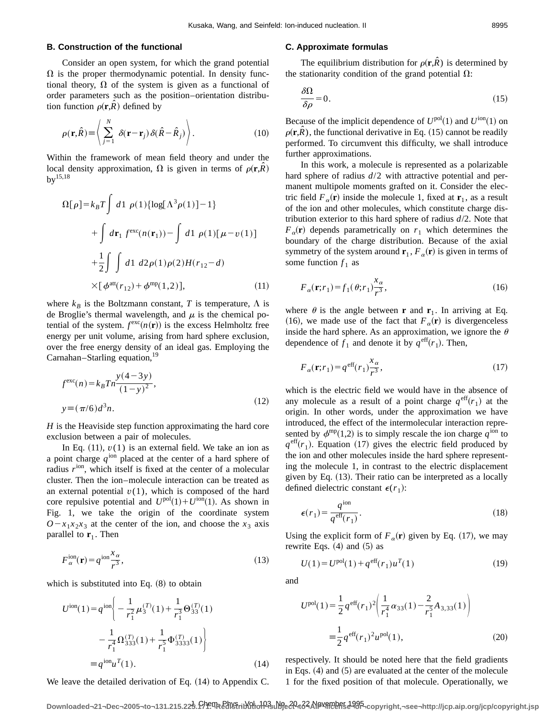#### **B. Construction of the functional**

Consider an open system, for which the grand potential  $\Omega$  is the proper thermodynamic potential. In density functional theory,  $\Omega$  of the system is given as a functional of order parameters such as the position–orientation distribution function  $\rho(\mathbf{r}, \hat{R})$  defined by

$$
\rho(\mathbf{r}, \hat{R}) \equiv \left\langle \sum_{j=1}^{N} \delta(\mathbf{r} - \mathbf{r}_{j}) \delta(\hat{R} - \hat{R}_{j}) \right\rangle.
$$
 (10)

Within the framework of mean field theory and under the local density approximation,  $\Omega$  is given in terms of  $\rho(\mathbf{r}, \hat{R})$  $bv^{15,18}$ 

$$
\Omega[\rho] = k_B T \int d\mathbf{1} \rho(\mathbf{1}) \{ \log[\Lambda^3 \rho(\mathbf{1})] - 1 \}
$$
  
+ 
$$
\int d\mathbf{r}_1 f^{\text{exc}}(n(\mathbf{r}_1)) - \int d\mathbf{1} \rho(\mathbf{1}) [\mu - v(\mathbf{1})]
$$
  
+ 
$$
\frac{1}{2} \int \int d\mathbf{1} \ d2\rho(\mathbf{1}) \rho(2) H(r_{12} - d)
$$
  
× 
$$
[\phi^{\text{att}}(r_{12}) + \phi^{\text{mp}}(\mathbf{1}, 2)],
$$
 (11)

where  $k_B$  is the Boltzmann constant, *T* is temperature,  $\Lambda$  is de Broglie's thermal wavelength, and  $\mu$  is the chemical potential of the system.  $f^{\text{exc}}(n(\mathbf{r}))$  is the excess Helmholtz free energy per unit volume, arising from hard sphere exclusion, over the free energy density of an ideal gas. Employing the Carnahan–Starling equation,<sup>19</sup>

$$
f^{\text{exc}}(n) = k_B T n \frac{y(4-3y)}{(1-y)^2},
$$
  

$$
y \equiv (\pi/6) d^3 n.
$$
 (12)

*H* is the Heaviside step function approximating the hard core exclusion between a pair of molecules.

In Eq.  $(11)$ ,  $v(1)$  is an external field. We take an ion as a point charge  $q^{ion}$  placed at the center of a hard sphere of radius  $r^{ion}$ , which itself is fixed at the center of a molecular cluster. Then the ion–molecule interaction can be treated as an external potential  $v(1)$ , which is composed of the hard core repulsive potential and  $U^{pol}(1) + U^{ion}(1)$ . As shown in Fig. 1, we take the origin of the coordinate system  $O-x_1x_2x_3$  at the center of the ion, and choose the  $x_3$  axis parallel to  $\mathbf{r}_1$ . Then

$$
F_{\alpha}^{\text{ion}}(\mathbf{r}) = q^{\text{ion}} \frac{x_{\alpha}}{r^3},\tag{13}
$$

which is substituted into Eq.  $(8)$  to obtain

$$
U^{\text{ion}}(1) = q^{\text{ion}} \left\{ -\frac{1}{r_1^2} \mu_3^{(T)}(1) + \frac{1}{r_1^3} \Theta_{33}^{(T)}(1) - \frac{1}{r_1^4} \Omega_{333}^{(T)}(1) + \frac{1}{r_1^5} \Phi_{3333}^{(T)}(1) \right\}
$$
  
=  $q^{\text{ion}} u^T(1)$ . (14)

We leave the detailed derivation of Eq.  $(14)$  to Appendix C.

#### **C. Approximate formulas**

The equilibrium distribution for  $\rho(\mathbf{r},\mathbf{R})$  is determined by the stationarity condition of the grand potential  $\Omega$ :

$$
\frac{\delta\Omega}{\delta\rho} = 0.\tag{15}
$$

Because of the implicit dependence of  $U^{pol}(1)$  and  $U^{ion}(1)$  on  $\rho(\mathbf{r},\hat{R})$ , the functional derivative in Eq. (15) cannot be readily performed. To circumvent this difficulty, we shall introduce further approximations.

In this work, a molecule is represented as a polarizable hard sphere of radius *d*/2 with attractive potential and permanent multipole moments grafted on it. Consider the electric field  $F_a(\mathbf{r})$  inside the molecule 1, fixed at  $\mathbf{r}_1$ , as a result of the ion and other molecules, which constitute charge distribution exterior to this hard sphere of radius *d*/2. Note that  $F_{\alpha}(\mathbf{r})$  depends parametrically on  $r_1$  which determines the boundary of the charge distribution. Because of the axial symmetry of the system around  $\mathbf{r}_1$ ,  $F_a(\mathbf{r})$  is given in terms of some function  $f_1$  as

$$
F_{\alpha}(\mathbf{r};r_1) = f_1(\theta;r_1)\frac{x_{\alpha}}{r^3},\tag{16}
$$

where  $\theta$  is the angle between **r** and **r**<sub>1</sub>. In arriving at Eq. (16), we made use of the fact that  $F_a(\mathbf{r})$  is divergenceless inside the hard sphere. As an approximation, we ignore the  $\theta$ dependence of  $f_1$  and denote it by  $q^{\text{eff}}(r_1)$ . Then,

$$
F_{\alpha}(\mathbf{r};r_1) = q^{\text{eff}}(r_1) \frac{x_{\alpha}}{r^3},\tag{17}
$$

which is the electric field we would have in the absence of any molecule as a result of a point charge  $q^{\text{eff}}(r_1)$  at the origin. In other words, under the approximation we have introduced, the effect of the intermolecular interaction represented by  $\phi^{\text{mp}}(1,2)$  is to simply rescale the ion charge  $q^{\text{ion}}$  to  $q^{\text{eff}}(r_1)$ . Equation (17) gives the electric field produced by the ion and other molecules inside the hard sphere representing the molecule 1, in contrast to the electric displacement given by Eq.  $(13)$ . Their ratio can be interpreted as a locally defined dielectric constant  $\epsilon(r_1)$ :

$$
\epsilon(r_1) = \frac{q^{\text{ion}}}{q^{\text{eff}}(r_1)}.
$$
\n(18)

Using the explicit form of  $F_{\alpha}(\mathbf{r})$  given by Eq. (17), we may rewrite Eqs.  $(4)$  and  $(5)$  as

$$
U(1) = U^{\text{pol}}(1) + q^{\text{eff}}(r_1)u^T(1)
$$
\n(19)

and

$$
U^{\text{pol}}(1) = \frac{1}{2} q^{\text{eff}}(r_1)^2 \left( \frac{1}{r_1^4} \alpha_{33}(1) - \frac{2}{r_1^5} A_{3,33}(1) \right)
$$
  
= 
$$
\frac{1}{2} q^{\text{eff}}(r_1)^2 u^{\text{pol}}(1),
$$
 (20)

respectively. It should be noted here that the field gradients in Eqs.  $(4)$  and  $(5)$  are evaluated at the center of the molecule 1 for the fixed position of that molecule. Operationally, we

Downloaded¬21¬Dec¬2005¬to¬131.215.22<del>5</del>. *Phe*. Redistrib al-Baubjee 20-t 22 November 54.995 copyright,¬see¬http://jcp.aip.org/jcp/copyright.jsp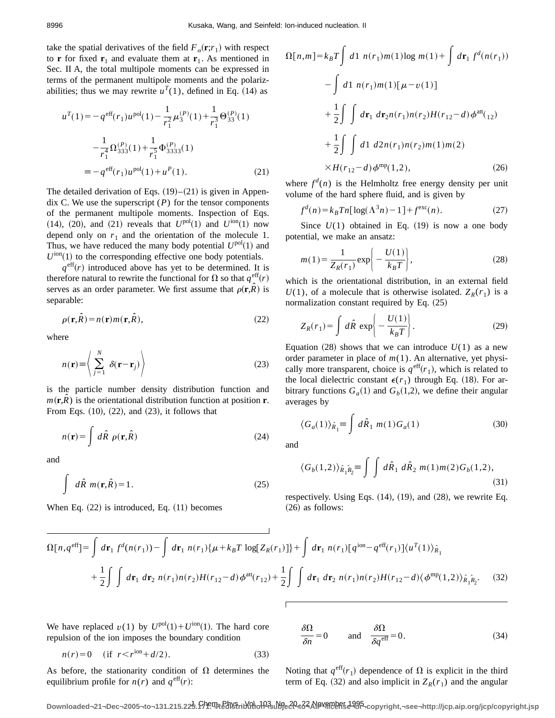take the spatial derivatives of the field  $F_{\alpha}(\mathbf{r};r_1)$  with respect to **r** for fixed  $\mathbf{r}_1$  and evaluate them at  $\mathbf{r}_1$ . As mentioned in Sec. II A, the total multipole moments can be expressed in terms of the permanent multipole moments and the polarizabilities; thus we may rewrite  $u^T(1)$ , defined in Eq. (14) as

$$
u^{T}(1) = -q^{\text{eff}}(r_{1})u^{\text{pol}}(1) - \frac{1}{r_{1}^{2}}\mu_{3}^{(P)}(1) + \frac{1}{r_{1}^{3}}\Theta_{33}^{(P)}(1)
$$

$$
-\frac{1}{r_{1}^{4}}\Omega_{333}^{(P)}(1) + \frac{1}{r_{1}^{5}}\Phi_{3333}^{(P)}(1)
$$

$$
\equiv -q^{\text{eff}}(r_{1})u^{\text{pol}}(1) + u^{P}(1).
$$
 (21)

The detailed derivation of Eqs.  $(19)–(21)$  is given in Appendix C. We use the superscript (*P*) for the tensor components of the permanent multipole moments. Inspection of Eqs.  $(14)$ ,  $(20)$ , and  $(21)$  reveals that  $U<sup>pol</sup>(1)$  and  $U<sup>ion</sup>(1)$  now depend only on  $r_1$  and the orientation of the molecule 1. Thus, we have reduced the many body potential  $U^{pol}(1)$  and  $U^{\text{ion}}(1)$  to the corresponding effective one body potentials.

 $q^{\text{eff}}(r)$  introduced above has yet to be determined. It is therefore natural to rewrite the functional for  $\Omega$  so that  $q^{\text{eff}}(r)$ serves as an order parameter. We first assume that  $\rho(\mathbf{r},\tilde{R})$  is separable:

$$
\rho(\mathbf{r}, \hat{R}) = n(\mathbf{r})m(\mathbf{r}, \hat{R}),\tag{22}
$$

where

$$
n(\mathbf{r}) \equiv \left\langle \sum_{j=1}^{N} \delta(\mathbf{r} - \mathbf{r}_{j}) \right\rangle
$$
 (23)

is the particle number density distribution function and  $m(\mathbf{r}, \mathbf{R})$  is the orientational distribution function at position **r**. From Eqs.  $(10)$ ,  $(22)$ , and  $(23)$ , it follows that

$$
n(\mathbf{r}) = \int d\hat{R} \, \rho(\mathbf{r}, \hat{R}) \tag{24}
$$

and

$$
\int d\hat{R} m(\mathbf{r}, \hat{R}) = 1.
$$
 (25)

When Eq.  $(22)$  is introduced, Eq.  $(11)$  becomes

$$
\Omega[n,m] = k_B T \int d1 \ n(r_1)m(1) \log m(1) + \int d\mathbf{r}_1 f^d(n(r_1))
$$

$$
- \int d1 \ n(r_1)m(1)[\mu - v(1)]
$$

$$
+ \frac{1}{2} \int \int d\mathbf{r}_1 d\mathbf{r}_2 n(r_1)n(r_2)H(r_{12} - d)\phi^{\text{att}}(12)
$$

$$
+ \frac{1}{2} \int \int d1 d2n(r_1)n(r_2)m(1)m(2)
$$

$$
\times H(r_{12} - d)\phi^{\text{mp}}(1,2), \qquad (26)
$$

where  $f^d(n)$  is the Helmholtz free energy density per unit volume of the hard sphere fluid, and is given by

$$
f^{d}(n) = k_B T n \left[ \log(\Lambda^3 n) - 1 \right] + f^{\text{exc}}(n). \tag{27}
$$

Since  $U(1)$  obtained in Eq.  $(19)$  is now a one body potential, we make an ansatz:

$$
m(1) = \frac{1}{Z_R(r_1)} \exp\left\{-\frac{U(1)}{k_B T}\right\},
$$
 (28)

which is the orientational distribution, in an external field  $U(1)$ , of a molecule that is otherwise isolated.  $Z_R(r_1)$  is a normalization constant required by Eq.  $(25)$ 

$$
Z_R(r_1) = \int d\hat{R} \exp\left(-\frac{U(1)}{k_B T}\right).
$$
 (29)

Equation  $(28)$  shows that we can introduce  $U(1)$  as a new order parameter in place of  $m(1)$ . An alternative, yet physically more transparent, choice is  $q^{\text{eff}}(r_1)$ , which is related to the local dielectric constant  $\epsilon(r_1)$  through Eq. (18). For arbitrary functions  $G_a(1)$  and  $G_b(1,2)$ , we define their angular averages by

$$
\langle G_a(1)\rangle_{\hat{R}_1} \equiv \int d\hat{R}_1 \ m(1) G_a(1) \tag{30}
$$

and

$$
\langle G_b(1,2)\rangle_{\hat{R}_1\hat{R}_2} \equiv \int \int d\hat{R}_1 \ d\hat{R}_2 \ m(1)m(2)G_b(1,2), \tag{31}
$$

respectively. Using Eqs.  $(14)$ ,  $(19)$ , and  $(28)$ , we rewrite Eq.  $(26)$  as follows:

$$
\overline{\Omega[n,q^{\text{eff}}]} = \int d\mathbf{r}_1 f^d(n(r_1)) - \int d\mathbf{r}_1 n(r_1) {\mu + k_B T \log[Z_R(r_1)]} + \int d\mathbf{r}_1 n(r_1) [q^{\text{ion}} - q^{\text{eff}}(r_1)] \langle u^T(1) \rangle_{\hat{R}_1}
$$
  
+ 
$$
\frac{1}{2} \int \int d\mathbf{r}_1 d\mathbf{r}_2 n(r_1) n(r_2) H(r_{12} - d) \phi^{\text{att}}(r_{12}) + \frac{1}{2} \int \int d\mathbf{r}_1 d\mathbf{r}_2 n(r_1) n(r_2) H(r_{12} - d) \langle \phi^{\text{mp}}(1,2) \rangle_{\hat{R}_1 \hat{R}_2}.
$$
 (32)

We have replaced  $v(1)$  by  $U^{pol}(1) + U^{ion}(1)$ . The hard core repulsion of the ion imposes the boundary condition

$$
n(r) = 0 \quad \text{(if } r < r^{\text{ion}} + d/2\text{)}.
$$
\n(33)

As before, the stationarity condition of  $\Omega$  determines the equilibrium profile for  $n(r)$  and  $q^{\text{eff}}(r)$ :

$$
\frac{\delta\Omega}{\delta n} = 0 \quad \text{and} \quad \frac{\delta\Omega}{\delta q^{\text{eff}}} = 0. \tag{34}
$$

Noting that  $q^{\text{eff}}(r_1)$  dependence of  $\Omega$  is explicit in the third term of Eq. (32) and also implicit in  $Z_R(r_1)$  and the angular

Downloaded¬21¬Dec¬2005¬to¬131.215.225. *Phe*!!RedNstrib\RholfBall\gedQtd2Ap\exe\eqquaresd995-copyright,¬see¬http://jcp.aip.org/jcp/copyright.jsp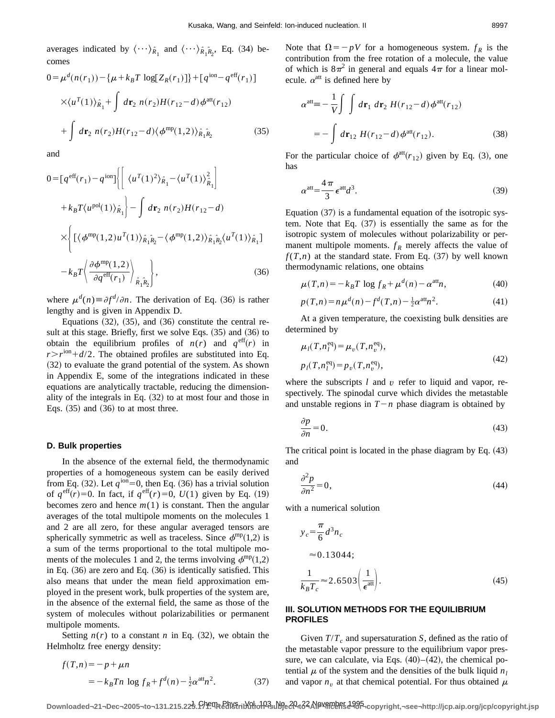averages indicated by  $\langle \cdots \rangle_{\hat{R}_1}$  and  $\langle \cdots \rangle_{\hat{R}_1 \hat{R}_2}$ , Eq. (34) becomes

$$
0 = \mu^{d}(n(r_{1})) - {\mu + k_{B}T \log[Z_{R}(r_{1})]} + [q^{\text{ion}} - q^{\text{eff}}(r_{1})]
$$
  
 
$$
\times \langle u^{T}(1) \rangle_{\hat{R}_{1}} + \int d\mathbf{r}_{2} n(r_{2}) H(r_{12} - d) \phi^{\text{att}}(r_{12})
$$
  
+ 
$$
\int d\mathbf{r}_{2} n(r_{2}) H(r_{12} - d) \langle \phi^{\text{mp}}(1, 2) \rangle_{\hat{R}_{1}\hat{R}_{2}}
$$
(35)

and

$$
0 = \left[ q^{\text{eff}}(r_1) - q^{\text{ion}} \right] \left[ \langle u^T(1)^2 \rangle_{\hat{R}_1} - \langle u^T(1) \rangle_{\hat{R}_1}^2 \right]
$$
  
+  $k_B T \langle u^{\text{pol}}(1) \rangle_{\hat{R}_1} - \int d\mathbf{r}_2 n(r_2) H(r_{12} - d)$   

$$
\times \left\{ \left[ \langle \phi^{\text{mp}}(1,2) u^T(1) \rangle_{\hat{R}_1 \hat{R}_2} - \langle \phi^{\text{mp}}(1,2) \rangle_{\hat{R}_1 \hat{R}_2} \langle u^T(1) \rangle_{\hat{R}_1} \right] - k_B T \left\langle \frac{\partial \phi^{\text{mp}}(1,2)}{\partial q^{\text{eff}}(r_1)} \rangle_{\hat{R}_1 \hat{R}_2} \right\rangle, \tag{36}
$$

where  $\mu^d(n) \equiv \partial f^{d}/\partial n$ . The derivation of Eq. (36) is rather lengthy and is given in Appendix D.

Equations  $(32)$ ,  $(35)$ , and  $(36)$  constitute the central result at this stage. Briefly, first we solve Eqs.  $(35)$  and  $(36)$  to obtain the equilibrium profiles of  $n(r)$  and  $q^{\text{eff}}(r)$  in  $r > r^{ion} + d/2$ . The obtained profiles are substituted into Eq.  $(32)$  to evaluate the grand potential of the system. As shown in Appendix E, some of the integrations indicated in these equations are analytically tractable, reducing the dimensionality of the integrals in Eq.  $(32)$  to at most four and those in Eqs.  $(35)$  and  $(36)$  to at most three.

### **D. Bulk properties**

In the absence of the external field, the thermodynamic properties of a homogeneous system can be easily derived from Eq.  $(32)$ . Let  $q^{\text{ion}}=0$ , then Eq.  $(36)$  has a trivial solution of  $q^{\text{eff}}(r) = 0$ . In fact, if  $q^{\text{eff}}(r) = 0$ ,  $U(1)$  given by Eq. (19) becomes zero and hence  $m(1)$  is constant. Then the angular averages of the total multipole moments on the molecules 1 and 2 are all zero, for these angular averaged tensors are spherically symmetric as well as traceless. Since  $\phi^{\text{mp}}(1,2)$  is a sum of the terms proportional to the total multipole moments of the molecules 1 and 2, the terms involving  $\phi^{\text{mp}}(1,2)$ in Eq.  $(36)$  are zero and Eq.  $(36)$  is identically satisfied. This also means that under the mean field approximation employed in the present work, bulk properties of the system are, in the absence of the external field, the same as those of the system of molecules without polarizabilities or permanent multipole moments.

Setting  $n(r)$  to a constant *n* in Eq.  $(32)$ , we obtain the Helmholtz free energy density:

$$
f(T,n) = -p + \mu n
$$
  
= 
$$
-k_B T n \log f_R + f^d(n) - \frac{1}{2} \alpha^{\text{att}} n^2.
$$
 (37)

Note that  $\Omega = -pV$  for a homogeneous system.  $f_R$  is the contribution from the free rotation of a molecule, the value of which is  $8\pi^2$  in general and equals  $4\pi$  for a linear molecule.  $\alpha^{att}$  is defined here by

$$
\alpha^{\text{att}} = -\frac{1}{V} \int \int d\mathbf{r}_1 \, d\mathbf{r}_2 \, H(r_{12} - d) \phi^{\text{att}}(r_{12})
$$

$$
= -\int d\mathbf{r}_{12} \, H(r_{12} - d) \phi^{\text{att}}(r_{12}). \tag{38}
$$

For the particular choice of  $\phi^{\text{att}}(r_{12})$  given by Eq. (3), one has

$$
\alpha^{\text{att}} = \frac{4\pi}{3} \epsilon^{\text{att}} d^3. \tag{39}
$$

Equation  $(37)$  is a fundamental equation of the isotropic system. Note that Eq.  $(37)$  is essentially the same as for the isotropic system of molecules without polarizability or permanent multipole moments.  $f_R$  merely affects the value of  $f(T,n)$  at the standard state. From Eq.  $(37)$  by well known thermodynamic relations, one obtains

$$
\mu(T,n) = -k_B T \log f_R + \mu^d(n) - \alpha^{\text{att}} n,\tag{40}
$$

$$
p(T,n) = n\mu^{d}(n) - f^{d}(T,n) - \frac{1}{2}\alpha^{\text{att}}n^{2}.
$$
 (41)

At a given temperature, the coexisting bulk densities are determined by

$$
\mu_l(T, n_l^{\text{eq}}) = \mu_v(T, n_v^{\text{eq}}),
$$
  
\n
$$
p_l(T, n_l^{\text{eq}}) = p_v(T, n_v^{\text{eq}}),
$$
\n(42)

where the subscripts *l* and *v* refer to liquid and vapor, respectively. The spinodal curve which divides the metastable and unstable regions in  $T - n$  phase diagram is obtained by

$$
\frac{\partial p}{\partial n} = 0.\tag{43}
$$

The critical point is located in the phase diagram by Eq.  $(43)$ and

$$
\frac{\partial^2 p}{\partial n^2} = 0,\tag{44}
$$

with a numerical solution

$$
y_c = \frac{\pi}{6} d^3 n_c
$$
  
\n
$$
\approx 0.13044;
$$
  
\n
$$
\frac{1}{k_B T_c} \approx 2.6503 \left( \frac{1}{\epsilon^{att}} \right).
$$
 (45)

# **III. SOLUTION METHODS FOR THE EQUILIBRIUM PROFILES**

Given  $T/T_c$  and supersaturation *S*, defined as the ratio of the metastable vapor pressure to the equilibrium vapor pressure, we can calculate, via Eqs.  $(40)–(42)$ , the chemical potential  $\mu$  of the system and the densities of the bulk liquid  $n_l$ and vapor  $n_v$  at that chemical potential. For thus obtained  $\mu$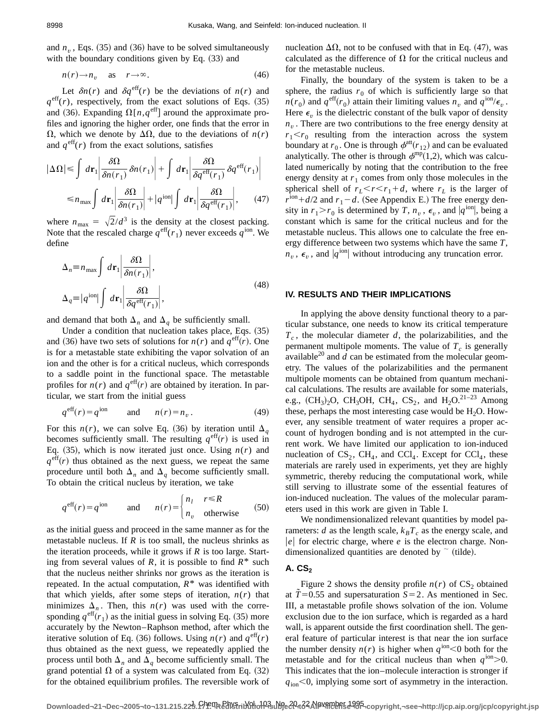and  $n_v$ , Eqs. (35) and (36) have to be solved simultaneously with the boundary conditions given by Eq.  $(33)$  and

$$
n(r) \to n_v \quad \text{as} \quad r \to \infty. \tag{46}
$$

Let  $\delta n(r)$  and  $\delta q^{\text{eff}}(r)$  be the deviations of  $n(r)$  and  $q^{\text{eff}}(r)$ , respectively, from the exact solutions of Eqs. (35) and (36). Expanding  $\Omega[n, q^{\text{eff}}]$  around the approximate profiles and ignoring the higher order, one finds that the error in  $\Omega$ , which we denote by  $\Delta\Omega$ , due to the deviations of  $n(r)$ and  $q^{\text{eff}}(r)$  from the exact solutions, satisfies

$$
|\Delta\Omega| \leq \int d\mathbf{r}_1 \left| \frac{\delta\Omega}{\delta n(r_1)} \delta n(r_1) \right| + \int d\mathbf{r}_1 \left| \frac{\delta\Omega}{\delta q^{\text{eff}}(r_1)} \delta q^{\text{eff}}(r_1) \right|
$$
  

$$
\leq n_{\text{max}} \int d\mathbf{r}_1 \left| \frac{\delta\Omega}{\delta n(r_1)} \right| + |q^{\text{ion}}| \int d\mathbf{r}_1 \left| \frac{\delta\Omega}{\delta q^{\text{eff}}(r_1)} \right|, \qquad (47)
$$

where  $n_{\text{max}} = \sqrt{2}/d^3$  is the density at the closest packing. Note that the rescaled charge  $q^{eff}(r_1)$  never exceeds  $q^{ion}$ . We define

$$
\Delta_n = n_{\text{max}} \int d\mathbf{r}_1 \left| \frac{\delta \Omega}{\delta n(r_1)} \right|,
$$
  

$$
\Delta_q = |q^{\text{ion}}| \int d\mathbf{r}_1 \left| \frac{\delta \Omega}{\delta q^{\text{eff}}(r_1)} \right|,
$$
 (48)

and demand that both  $\Delta_n$  and  $\Delta_q$  be sufficiently small.

Under a condition that nucleation takes place, Eqs. (35) and (36) have two sets of solutions for  $n(r)$  and  $q^{\text{eff}}(r)$ . One is for a metastable state exhibiting the vapor solvation of an ion and the other is for a critical nucleus, which corresponds to a saddle point in the functional space. The metastable profiles for  $n(r)$  and  $q^{\text{eff}}(r)$  are obtained by iteration. In particular, we start from the initial guess

$$
q^{\text{eff}}(r) = q^{\text{ion}} \qquad \text{and} \qquad n(r) = n_v. \tag{49}
$$

For this  $n(r)$ , we can solve Eq. (36) by iteration until  $\Delta_q$ becomes sufficiently small. The resulting  $q^{eff}(r)$  is used in Eq.  $(35)$ , which is now iterated just once. Using  $n(r)$  and  $q^{\text{eff}}(r)$  thus obtained as the next guess, we repeat the same procedure until both  $\Delta_n$  and  $\Delta_q$  become sufficiently small. To obtain the critical nucleus by iteration, we take

$$
q^{\text{eff}}(r) = q^{\text{ion}} \qquad \text{and} \qquad n(r) = \begin{cases} n_l & r \le R \\ n_v & \text{otherwise} \end{cases} \tag{50}
$$

as the initial guess and proceed in the same manner as for the metastable nucleus. If *R* is too small, the nucleus shrinks as the iteration proceeds, while it grows if  *is too large. Start*ing from several values of *R*, it is possible to find  $R^*$  such that the nucleus neither shrinks nor grows as the iteration is repeated. In the actual computation,  $R^*$  was identified with that which yields, after some steps of iteration,  $n(r)$  that minimizes  $\Delta_n$ . Then, this  $n(r)$  was used with the corresponding  $q^{\text{eff}}(r_1)$  as the initial guess in solving Eq. (35) more accurately by the Newton–Raphson method, after which the iterative solution of Eq. (36) follows. Using  $n(r)$  and  $q^{\text{eff}}(r)$ thus obtained as the next guess, we repeatedly applied the process until both  $\Delta_n$  and  $\Delta_q$  become sufficiently small. The grand potential  $\Omega$  of a system was calculated from Eq. (32) for the obtained equilibrium profiles. The reversible work of nucleation  $\Delta\Omega$ , not to be confused with that in Eq. (47), was calculated as the difference of  $\Omega$  for the critical nucleus and for the metastable nucleus.

Finally, the boundary of the system is taken to be a sphere, the radius  $r_0$  of which is sufficiently large so that  $n(r_0)$  and  $q^{\text{eff}}(r_0)$  attain their limiting values  $n_v$  and  $q^{\text{ion}}/\epsilon_v$ . Here  $\epsilon_n$  is the dielectric constant of the bulk vapor of density  $n<sub>v</sub>$ . There are two contributions to the free energy density at  $r_1$ <sup> $\lt$ </sup> $r_0$  resulting from the interaction across the system boundary at  $r_0$ . One is through  $\phi^{\text{att}}(r_1)$  and can be evaluated analytically. The other is through  $\phi^{\text{mp}}(1,2)$ , which was calculated numerically by noting that the contribution to the free energy density at  $r_1$  comes from only those molecules in the spherical shell of  $r_L < r < r_1 + d$ , where  $r_L$  is the larger of  $r^{ion}$ + $d/2$  and  $r_1$  –  $d$ . (See Appendix E.) The free energy density in  $r_1 > r_0$  is determined by *T*,  $n_v$ ,  $\epsilon_v$ , and  $|q^{\text{ion}}|$ , being a constant which is same for the critical nucleus and for the metastable nucleus. This allows one to calculate the free energy difference between two systems which have the same *T*,  $n_v$ ,  $\epsilon_v$ , and  $|q^{\text{ion}}|$  without introducing any truncation error.

### **IV. RESULTS AND THEIR IMPLICATIONS**

In applying the above density functional theory to a particular substance, one needs to know its critical temperature  $T_c$ , the molecular diameter *d*, the polarizabilities, and the permanent multipole moments. The value of  $T_c$  is generally available<sup>20</sup> and *d* can be estimated from the molecular geometry. The values of the polarizabilities and the permanent multipole moments can be obtained from quantum mechanical calculations. The results are available for some materials, e.g.,  $(CH_3)_2O$ , CH<sub>3</sub>OH, CH<sub>4</sub>, CS<sub>2</sub>, and H<sub>2</sub>O.<sup>21-23</sup> Among these, perhaps the most interesting case would be  $H_2O$ . However, any sensible treatment of water requires a proper account of hydrogen bonding and is not attempted in the current work. We have limited our application to ion-induced nucleation of  $CS_2$ , CH<sub>4</sub>, and CCl<sub>4</sub>. Except for CCl<sub>4</sub>, these materials are rarely used in experiments, yet they are highly symmetric, thereby reducing the computational work, while still serving to illustrate some of the essential features of ion-induced nucleation. The values of the molecular parameters used in this work are given in Table I.

We nondimensionalized relevant quantities by model parameters: *d* as the length scale,  $k_B T_c$  as the energy scale, and  $|e|$  for electric charge, where *e* is the electron charge. Nondimensionalized quantities are denoted by  $\tilde{ }$  (tilde).

# **A. CS**<sub>2</sub>

Figure 2 shows the density profile  $n(r)$  of  $CS_2$  obtained at  $\tilde{T} = 0.55$  and supersaturation  $S = 2$ . As mentioned in Sec. III, a metastable profile shows solvation of the ion. Volume exclusion due to the ion surface, which is regarded as a hard wall, is apparent outside the first coordination shell. The general feature of particular interest is that near the ion surface the number density  $n(r)$  is higher when  $q^{\text{ion}}$  < 0 both for the metastable and for the critical nucleus than when  $q^{ion} > 0$ . This indicates that the ion–molecule interaction is stronger if  $q<sub>ion</sub> < 0$ , implying some sort of asymmetry in the interaction.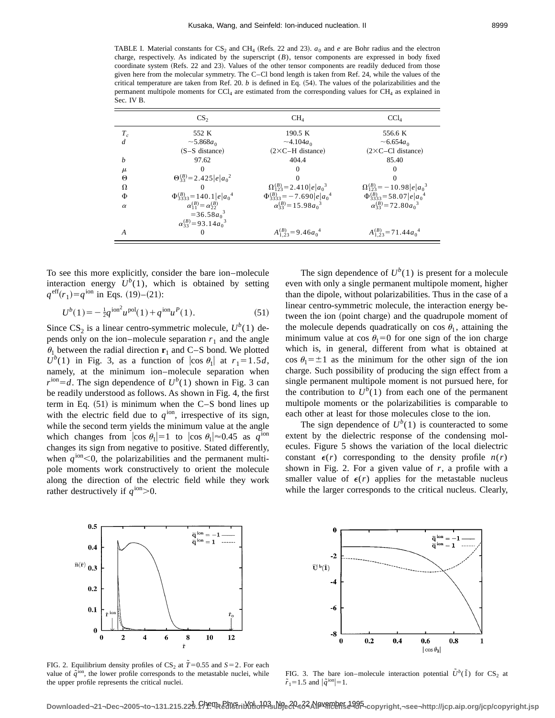TABLE I. Material constants for  $CS_2$  and  $CH_4$  (Refs. 22 and 23).  $a_0$  and *e* are Bohr radius and the electron charge, respectively. As indicated by the superscript (*B*), tensor components are expressed in body fixed coordinate system (Refs. 22 and 23). Values of the other tensor components are readily deduced from those given here from the molecular symmetry. The C–Cl bond length is taken from Ref. 24, while the values of the critical temperature are taken from Ref. 20.  $b$  is defined in Eq.  $(54)$ . The values of the polarizabilities and the permanent multipole moments for CCl<sub>4</sub> are estimated from the corresponding values for  $CH<sub>4</sub>$  as explained in Sec. IV B.

|                | CS <sub>2</sub>                         | CH <sub>4</sub>                      | CCl <sub>4</sub>                                 |
|----------------|-----------------------------------------|--------------------------------------|--------------------------------------------------|
| $T_c$          | 552 K                                   | 190.5 K                              | 556.6 K                                          |
| $\overline{d}$ | $~1.868a_0$                             | $\sim$ 4.104 $a_0$                   | $~1$ –6.654 $a_0$                                |
|                | $(S-S$ distance)                        | $(2 \times C-H$ distance)            | $(2\times C-C1)$ distance)                       |
| h              | 97.62                                   | 404.4                                | 85.40                                            |
| $\mu$          | $\Omega$                                | 0                                    |                                                  |
| $\Theta$       | $\Theta_{33}^{(B)} = 2.425 e a_0^2$     | 0                                    | 0                                                |
| Ω              |                                         | $\Omega_{123}^{(B)} = 2.410 e a_0^3$ | $\Omega_{123}^{(B)} = -10.98 e a_0^3$            |
| Ф              | $\Phi_{3333}^{(B)} = 140.1  e  a_0^4$   | $\Phi_{3333}^{(B)} = -7.690 e a_0^4$ | $\Phi_{3333}^{(B)} = 58.07 \left e\right  a_0^4$ |
| $\alpha$       | $\alpha_{11}^{(B)} = \alpha_{22}^{(B)}$ | $\alpha_{33}^{(B)} = 15.98 a_0^3$    | $\alpha_{33}^{(B)} = 72.80 a_0^3$                |
|                | $=36.58a_0^3$                           |                                      |                                                  |
|                | $\alpha_{33}^{(B)} = 93.14 a_0^3$       |                                      |                                                  |
| A              | $\theta$                                | $A_{123}^{(B)} = 9.46a_0^4$          | $A_1^{(B)}_2$ = 71.44 $a_0^4$                    |

To see this more explicitly, consider the bare ion–molecule interaction energy  $U^b(1)$ , which is obtained by setting  $q^{\text{eff}}(r_1) = q^{\text{ion}}$  in Eqs. (19)–(21):

$$
U^{b}(1) = -\frac{1}{2}q^{\text{ion}^{2}}u^{\text{pol}}(1) + q^{\text{ion}}u^{P}(1).
$$
 (51)

Since  $CS_2$  is a linear centro-symmetric molecule,  $U^b(1)$  depends only on the ion–molecule separation  $r_1$  and the angle  $\theta_1$  between the radial direction  $\mathbf{r}_1$  and C–S bond. We plotted  $U^b(1)$  in Fig. 3, as a function of  $|\cos \theta_1|$  at  $r_1 = 1.5d$ , namely, at the minimum ion–molecule separation when  $r^{\text{ion}} = d$ . The sign dependence of  $U^b(1)$  shown in Fig. 3 can be readily understood as follows. As shown in Fig. 4, the first term in Eq.  $(51)$  is minimum when the C–S bond lines up with the electric field due to  $q^{\text{ion}}$ , irrespective of its sign, while the second term yields the minimum value at the angle which changes from  $|\cos \theta_1|=1$  to  $|\cos \theta_1| \approx 0.45$  as  $q^{\text{ion}}$ changes its sign from negative to positive. Stated differently, when  $q^{\text{ion}}<0$ , the polarizabilities and the permanent multipole moments work constructively to orient the molecule along the direction of the electric field while they work rather destructively if  $q^{ion} > 0$ .

The sign dependence of  $U^b(1)$  is present for a molecule even with only a single permanent multipole moment, higher than the dipole, without polarizabilities. Thus in the case of a linear centro-symmetric molecule, the interaction energy between the ion (point charge) and the quadrupole moment of the molecule depends quadratically on cos  $\theta_1$ , attaining the minimum value at cos  $\theta_1=0$  for one sign of the ion charge which is, in general, different from what is obtained at cos  $\theta_1 = \pm 1$  as the minimum for the other sign of the ion charge. Such possibility of producing the sign effect from a single permanent multipole moment is not pursued here, for the contribution to  $U^b(1)$  from each one of the permanent multipole moments or the polarizabilities is comparable to each other at least for those molecules close to the ion.

The sign dependence of  $U^b(1)$  is counteracted to some extent by the dielectric response of the condensing molecules. Figure 5 shows the variation of the local dielectric constant  $\epsilon(r)$  corresponding to the density profile  $n(r)$ shown in Fig. 2. For a given value of *r*, a profile with a smaller value of  $\epsilon(r)$  applies for the metastable nucleus while the larger corresponds to the critical nucleus. Clearly,



FIG. 2. Equilibrium density profiles of  $CS_2$  at  $\tilde{T} = 0.55$  and  $S = 2$ . For each value of  $\tilde{q}^{\text{ion}}$ , the lower profile corresponds to the metastable nuclei, while the upper profile represents the critical nuclei.



FIG. 3. The bare ion–molecule interaction potential  $\tilde{U}^b(\tilde{1})$  for CS<sub>2</sub> at  $\tilde{r}_1 = 1.5$  and  $|\tilde{q}^{ion}| = 1$ .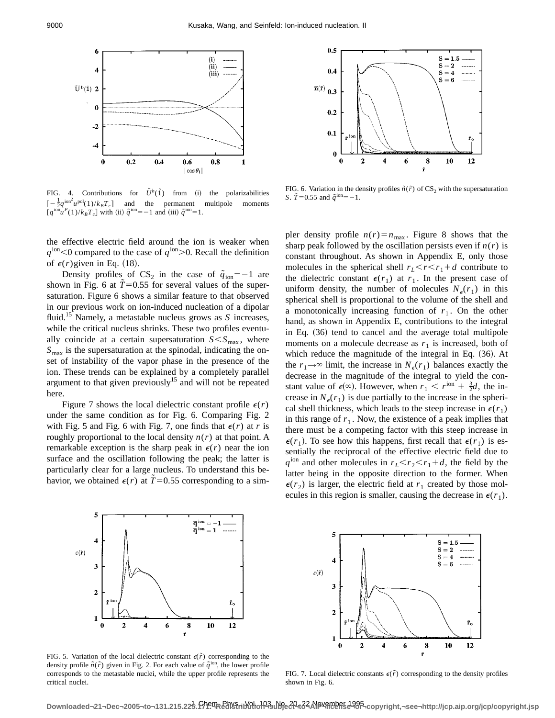

FIG. 4. Contributions for  $\tilde{U}^b(\tilde{1})$  from (i) the polarizabilities  $\left[-\frac{1}{2}q^{\rm ion^2}\right]$ and the permanent multipole moments  $[q^{\text{ion}}u^P(1)/k_BT_c]$  with (ii)  $\tilde{q}^{\text{ion}}=-1$  and (iii)  $\tilde{q}^{\text{ion}}=1$ .

the effective electric field around the ion is weaker when  $q^{\text{ion}}$  <0 compared to the case of  $q^{\text{ion}}$  >0. Recall the definition of  $\epsilon(r)$  given in Eq. (18).

Density profiles of  $CS_2$  in the case of  $\tilde{q}_{ion}=-1$  are shown in Fig. 6 at  $\tilde{T}$ =0.55 for several values of the supersaturation. Figure 6 shows a similar feature to that observed in our previous work on ion-induced nucleation of a dipolar fluid.<sup>15</sup> Namely, a metastable nucleus grows as *S* increases, while the critical nucleus shrinks. These two profiles eventually coincide at a certain supersaturation  $S \leq S_{\text{max}}$ , where *S*max is the supersaturation at the spinodal, indicating the onset of instability of the vapor phase in the presence of the ion. These trends can be explained by a completely parallel argument to that given previously $15$  and will not be repeated here.

Figure 7 shows the local dielectric constant profile  $\epsilon(r)$ under the same condition as for Fig. 6. Comparing Fig. 2 with Fig. 5 and Fig. 6 with Fig. 7, one finds that  $\epsilon(r)$  at *r* is roughly proportional to the local density  $n(r)$  at that point. A remarkable exception is the sharp peak in  $\epsilon(r)$  near the ion surface and the oscillation following the peak; the latter is particularly clear for a large nucleus. To understand this behavior, we obtained  $\epsilon(r)$  at  $\tilde{T} = 0.55$  corresponding to a sim-



FIG. 6. Variation in the density profiles  $\tilde{n}(\tilde{r})$  of CS<sub>2</sub> with the supersaturation *S*.  $\tilde{T} = 0.55$  and  $\tilde{q}^{ion} = -1$ .

pler density profile  $n(r) = n_{\text{max}}$ . Figure 8 shows that the sharp peak followed by the oscillation persists even if  $n(r)$  is constant throughout. As shown in Appendix E, only those molecules in the spherical shell  $r_L < r < r_1 + d$  contribute to the dielectric constant  $\epsilon(r_1)$  at  $r_1$ . In the present case of uniform density, the number of molecules  $N_e(r_1)$  in this spherical shell is proportional to the volume of the shell and a monotonically increasing function of  $r<sub>1</sub>$ . On the other hand, as shown in Appendix E, contributions to the integral in Eq.  $(36)$  tend to cancel and the average total multipole moments on a molecule decrease as  $r_1$  is increased, both of which reduce the magnitude of the integral in Eq.  $(36)$ . At the  $r_1 \rightarrow \infty$  limit, the increase in  $N_e(r_1)$  balances exactly the decrease in the magnitude of the integral to yield the constant value of  $\epsilon(\infty)$ . However, when  $r_1 < r^{\text{ion}} + \frac{3}{2}d$ , the increase in  $N_e(r_1)$  is due partially to the increase in the spherical shell thickness, which leads to the steep increase in  $\epsilon(r_1)$ in this range of  $r_1$ . Now, the existence of a peak implies that there must be a competing factor with this steep increase in  $\epsilon(r_1)$ . To see how this happens, first recall that  $\epsilon(r_1)$  is essentially the reciprocal of the effective electric field due to  $q^{ion}$  and other molecules in  $r_L < r_2 < r_1 + d$ , the field by the latter being in the opposite direction to the former. When  $\epsilon(r_2)$  is larger, the electric field at  $r_1$  created by those molecules in this region is smaller, causing the decrease in  $\epsilon(r_1)$ .



FIG. 5. Variation of the local dielectric constant  $\epsilon(\tilde{r})$  corresponding to the density profile  $\tilde{n}(\tilde{r})$  given in Fig. 2. For each value of  $\tilde{q}^{ion}$ , the lower profile corresponds to the metastable nuclei, while the upper profile represents the critical nuclei.



FIG. 7. Local dielectric constants  $\epsilon(\tilde{r})$  corresponding to the density profiles shown in Fig. 6.

Downloaded¬21¬Dec¬2005¬to¬131.215.225. **Phem Phys.rib/olio10-3ubge20-t62Apxmeerse**4995-copyright,¬see¬http://jcp.aip.org/jcp/copyright.jsp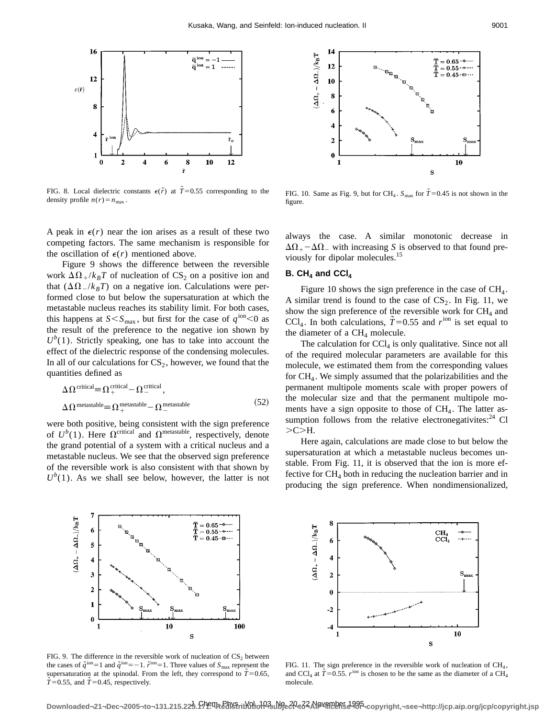

FIG. 8. Local dielectric constants  $\epsilon(\tilde{r})$  at  $\tilde{T} = 0.55$  corresponding to the density profile  $n(r) = n_{\text{max}}$ .

A peak in  $\epsilon(r)$  near the ion arises as a result of these two competing factors. The same mechanism is responsible for the oscillation of  $\epsilon(r)$  mentioned above.

Figure 9 shows the difference between the reversible work  $\Delta\Omega_+ / k_B T$  of nucleation of CS<sub>2</sub> on a positive ion and that  $(\Delta \Omega_{\perp}/k_BT)$  on a negative ion. Calculations were performed close to but below the supersaturation at which the metastable nucleus reaches its stability limit. For both cases, this happens at  $S < S_{\text{max}}$ , but first for the case of  $q^{\text{ion}} < 0$  as the result of the preference to the negative ion shown by  $U^b(1)$ . Strictly speaking, one has to take into account the effect of the dielectric response of the condensing molecules. In all of our calculations for  $CS_2$ , however, we found that the quantities defined as

$$
\Delta \Omega^{\text{critical}} = \Omega_+^{\text{critical}} - \Omega_-^{\text{critical}},
$$
  

$$
\Delta \Omega^{\text{metastable}} = \Omega_+^{\text{metastable}} - \Omega_-^{\text{metastable}}
$$
 (52)

were both positive, being consistent with the sign preference of  $U^b(1)$ . Here  $\Omega^{\text{critical}}$  and  $\Omega^{\text{metastable}}$ , respectively, denote the grand potential of a system with a critical nucleus and a metastable nucleus. We see that the observed sign preference of the reversible work is also consistent with that shown by  $U^b(1)$ . As we shall see below, however, the latter is not



FIG. 10. Same as Fig. 9, but for CH<sub>4</sub>.  $S_{\text{max}}$  for  $\tilde{T} = 0.45$  is not shown in the figure.

always the case. A similar monotonic decrease in  $\Delta\Omega_+ - \Delta\Omega_-$  with increasing *S* is observed to that found previously for dipolar molecules.<sup>15</sup>

# **B. CH4 and CCl4**

Figure 10 shows the sign preference in the case of  $CH<sub>4</sub>$ . A similar trend is found to the case of  $CS_2$ . In Fig. 11, we show the sign preference of the reversible work for  $CH<sub>4</sub>$  and CCl<sub>4</sub>. In both calculations,  $\tilde{T} = 0.55$  and  $r^{\text{ion}}$  is set equal to the diameter of a  $CH<sub>4</sub>$  molecule.

The calculation for  $CCl_4$  is only qualitative. Since not all of the required molecular parameters are available for this molecule, we estimated them from the corresponding values for  $CH<sub>4</sub>$ . We simply assumed that the polarizabilities and the permanent multipole moments scale with proper powers of the molecular size and that the permanent multipole moments have a sign opposite to those of  $CH<sub>4</sub>$ . The latter assumption follows from the relative electronegativites: $24$  Cl  $>>C-H$ .

Here again, calculations are made close to but below the supersaturation at which a metastable nucleus becomes unstable. From Fig. 11, it is observed that the ion is more effective for  $CH_4$  both in reducing the nucleation barrier and in producing the sign preference. When nondimensionalized,



FIG. 9. The difference in the reversible work of nucleation of  $CS_2$  between the cases of  $\tilde{q}^{ion}=1$  and  $\tilde{q}^{ion}=-1$ .  $\tilde{r}^{ion}=1$ . Three values of  $S_{max}$  represent the supersaturation at the spinodal. From the left, they correspond to  $\tilde{T} = 0.65$ ,  $\tilde{T}$  = 0.55, and  $\tilde{T}$  = 0.45, respectively.



FIG. 11. The sign preference in the reversible work of nucleation of  $CH<sub>4</sub>$ , and CCl<sub>4</sub> at  $\tilde{T}$  = 0.55.  $r^{ion}$  is chosen to be the same as the diameter of a CH<sub>4</sub> molecule.

Downloaded¬21¬Dec¬2005¬to¬131.215.225. *Phe*!!Redistribution<sup>03</sup> J. Let 22 November 1995 copyright,¬see¬http://jcp.aip.org/jcp/copyright.jsp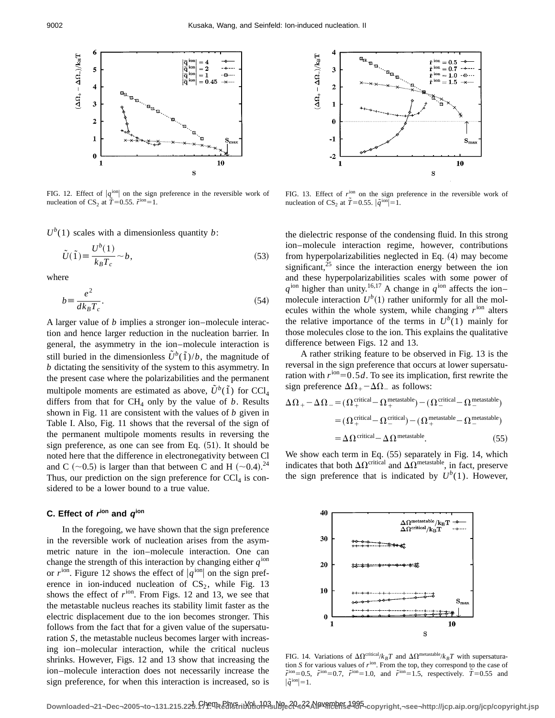

FIG. 12. Effect of  $|q_{\perp}^{\text{ion}}|$  on the sign preference in the reversible work of nucleation of  $CS_2$  at  $\tilde{T} = 0.55$ .  $\tilde{r}^{\text{ion}} = 1$ .

 $U^b(1)$  scales with a dimensionless quantity *b*:

$$
\tilde{U}(\tilde{1}) \equiv \frac{U^b(1)}{k_B T_c} \sim b,\tag{53}
$$

where

$$
b = \frac{e^2}{dk_B T_c}.\tag{54}
$$

A larger value of *b* implies a stronger ion–molecule interaction and hence larger reduction in the nucleation barrier. In general, the asymmetry in the ion–molecule interaction is still buried in the dimensionless  $\tilde{U}^b(\tilde{1})/b$ , the magnitude of *b* dictating the sensitivity of the system to this asymmetry. In the present case where the polarizabilities and the permanent multipole moments are estimated as above,  $\tilde{U}^b(\tilde{1})$  for CCl<sub>4</sub> differs from that for  $CH_4$  only by the value of *b*. Results shown in Fig. 11 are consistent with the values of *b* given in Table I. Also, Fig. 11 shows that the reversal of the sign of the permanent multipole moments results in reversing the sign preference, as one can see from Eq.  $(51)$ . It should be noted here that the difference in electronegativity between Cl and C ( $\sim$ 0.5) is larger than that between C and H ( $\sim$ 0.4).<sup>24</sup> Thus, our prediction on the sign preference for  $CCl<sub>4</sub>$  is considered to be a lower bound to a true value.

# **C. Effect of <sup>r</sup> ion and <sup>q</sup>ion**

In the foregoing, we have shown that the sign preference in the reversible work of nucleation arises from the asymmetric nature in the ion–molecule interaction. One can change the strength of this interaction by changing either  $q^{10n}$ or  $r^{\text{ion}}$ . Figure 12 shows the effect of  $|q^{\text{ion}}|$  on the sign preference in ion-induced nucleation of  $CS_2$ , while Fig. 13 shows the effect of  $r^{ion}$ . From Figs. 12 and 13, we see that the metastable nucleus reaches its stability limit faster as the electric displacement due to the ion becomes stronger. This follows from the fact that for a given value of the supersaturation *S*, the metastable nucleus becomes larger with increasing ion–molecular interaction, while the critical nucleus shrinks. However, Figs. 12 and 13 show that increasing the ion–molecule interaction does not necessarily increase the sign preference, for when this interaction is increased, so is



FIG. 13. Effect of  $r^{ion}$  on the sign preference in the reversible work of nucleation of  $CS_2$  at  $\tilde{T} = 0.55$ .  $|\tilde{q}^{\text{ion}}| = 1$ .

the dielectric response of the condensing fluid. In this strong ion–molecule interaction regime, however, contributions from hyperpolarizabilities neglected in Eq.  $(4)$  may become significant, $25$  since the interaction energy between the ion and these hyperpolarizabilities scales with some power of  $q^{\text{ion}}$  higher than unity.<sup>16,17</sup> A change in  $q^{\text{ion}}$  affects the ion– molecule interaction  $U^b(1)$  rather uniformly for all the molecules within the whole system, while changing  $r^{ion}$  alters the relative importance of the terms in  $U^b(1)$  mainly for those molecules close to the ion. This explains the qualitative difference between Figs. 12 and 13.

A rather striking feature to be observed in Fig. 13 is the reversal in the sign preference that occurs at lower supersaturation with  $r^{ion}=0.5d$ . To see its implication, first rewrite the sign preference  $\Delta\Omega_+ - \Delta\Omega_-$  as follows:

$$
\Delta \Omega_{+} - \Delta \Omega_{-} = (\Omega_{+}^{\text{critical}} - \Omega_{+}^{\text{metastable}}) - (\Omega_{-}^{\text{critical}} - \Omega_{-}^{\text{metastable}})
$$

$$
= (\Omega_{+}^{\text{critical}} - \Omega_{-}^{\text{critical}}) - (\Omega_{+}^{\text{metastable}} - \Omega_{-}^{\text{metastable}})
$$

$$
= \Delta \Omega^{\text{critical}} - \Delta \Omega^{\text{metastable}}. \tag{55}
$$

We show each term in Eq. (55) separately in Fig. 14, which indicates that both  $\Delta\Omega^{\textrm{critical}}$  and  $\Delta\Omega^{\textrm{metastable}}$ , in fact, preserve the sign preference that is indicated by  $U^b(1)$ . However,



FIG. 14. Variations of  $\Delta \Omega^{\text{critical}}/k_BT$  and  $\Delta \Omega^{\text{metastable}}/k_BT$  with supersaturation *S* for various values of *r*ion. From the top, they correspond to the case of  $\tilde{r}^{\text{ion}}=0.5$ ,  $\tilde{r}^{\text{ion}}=0.7$ ,  $\tilde{r}^{\text{ion}}=1.0$ , and  $\tilde{r}^{\text{ion}}=1.5$ , respectively.  $\tilde{T}=0.55$  and  $|\tilde{q}^{\text{ion}}|=1$ .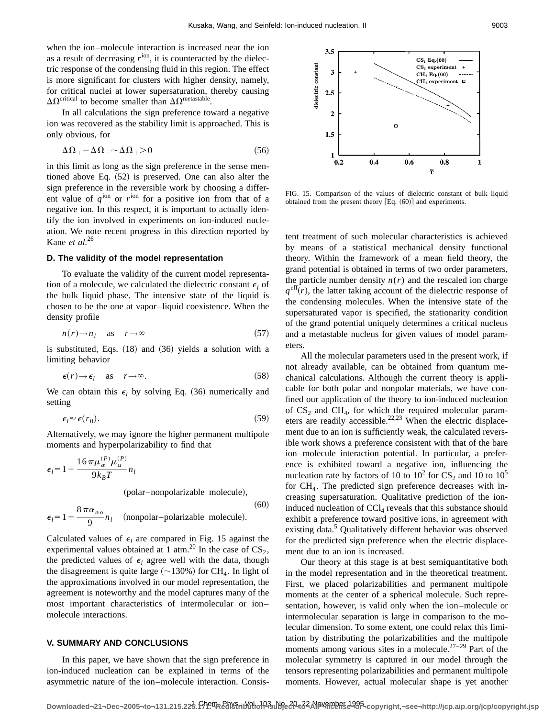when the ion–molecule interaction is increased near the ion as a result of decreasing  $r^{ion}$ , it is counteracted by the dielectric response of the condensing fluid in this region. The effect is more significant for clusters with higher density, namely, for critical nuclei at lower supersaturation, thereby causing  $\Delta\Omega^{\text{critical}}$  to become smaller than  $\Delta\Omega^{\text{metastable}}$ .

In all calculations the sign preference toward a negative ion was recovered as the stability limit is approached. This is only obvious, for

$$
\Delta\Omega_{+} - \Delta\Omega_{-} \sim \Delta\Omega_{+} > 0\tag{56}
$$

in this limit as long as the sign preference in the sense mentioned above Eq.  $(52)$  is preserved. One can also alter the sign preference in the reversible work by choosing a different value of  $q^{ion}$  or  $r^{ion}$  for a positive ion from that of a negative ion. In this respect, it is important to actually identify the ion involved in experiments on ion-induced nucleation. We note recent progress in this direction reported by Kane *et al.*<sup>26</sup>

### **D. The validity of the model representation**

To evaluate the validity of the current model representation of a molecule, we calculated the dielectric constant  $\epsilon_l$  of the bulk liquid phase. The intensive state of the liquid is chosen to be the one at vapor–liquid coexistence. When the density profile

$$
n(r) \to n_l \quad \text{as} \quad r \to \infty \tag{57}
$$

is substituted, Eqs.  $(18)$  and  $(36)$  yields a solution with a limiting behavior

$$
\epsilon(r) \to \epsilon_l \quad \text{as} \quad r \to \infty. \tag{58}
$$

We can obtain this  $\epsilon_l$  by solving Eq. (36) numerically and setting

$$
\epsilon_l \approx \epsilon(r_0). \tag{59}
$$

Alternatively, we may ignore the higher permanent multipole moments and hyperpolarizability to find that

$$
\epsilon_l = 1 + \frac{16 \pi \mu_{\alpha}^{(P)} \mu_{\alpha}^{(P)}}{9 k_B T} n_l
$$

(polar–nonpolarizable molecule),

$$
\epsilon_l = 1 + \frac{8\pi\alpha_{\alpha\alpha}}{9}n_l \quad \text{(nonpolar-polarizable molecule)}.
$$

Calculated values of  $\epsilon_1$  are compared in Fig. 15 against the experimental values obtained at 1 atm.<sup>20</sup> In the case of  $CS_2$ , the predicted values of  $\epsilon_1$  agree well with the data, though the disagreement is quite large  $(\sim 130\%)$  for CH<sub>4</sub>. In light of the approximations involved in our model representation, the agreement is noteworthy and the model captures many of the most important characteristics of intermolecular or ion– molecule interactions.

### **V. SUMMARY AND CONCLUSIONS**

In this paper, we have shown that the sign preference in ion-induced nucleation can be explained in terms of the asymmetric nature of the ion–molecule interaction. Consis-



FIG. 15. Comparison of the values of dielectric constant of bulk liquid obtained from the present theory  $[Eq. (60)]$  and experiments.

tent treatment of such molecular characteristics is achieved by means of a statistical mechanical density functional theory. Within the framework of a mean field theory, the grand potential is obtained in terms of two order parameters, the particle number density  $n(r)$  and the rescaled ion charge  $q^{\text{eff}}(r)$ , the latter taking account of the dielectric response of the condensing molecules. When the intensive state of the supersaturated vapor is specified, the stationarity condition of the grand potential uniquely determines a critical nucleus and a metastable nucleus for given values of model parameters.

All the molecular parameters used in the present work, if not already available, can be obtained from quantum mechanical calculations. Although the current theory is applicable for both polar and nonpolar materials, we have confined our application of the theory to ion-induced nucleation of  $CS_2$  and  $CH_4$ , for which the required molecular parameters are readily accessible.<sup>22,23</sup> When the electric displacement due to an ion is sufficiently weak, the calculated reversible work shows a preference consistent with that of the bare ion–molecule interaction potential. In particular, a preference is exhibited toward a negative ion, influencing the nucleation rate by factors of 10 to  $10^2$  for CS<sub>2</sub> and 10 to  $10^5$ for  $CH<sub>4</sub>$ . The predicted sign preference decreases with increasing supersaturation. Qualitative prediction of the ioninduced nucleation of  $\text{CCl}_4$  reveals that this substance should exhibit a preference toward positive ions, in agreement with existing data.<sup>5</sup> Qualitatively different behavior was observed for the predicted sign preference when the electric displacement due to an ion is increased.

Our theory at this stage is at best semiquantitative both in the model representation and in the theoretical treatment. First, we placed polarizabilities and permanent multipole moments at the center of a spherical molecule. Such representation, however, is valid only when the ion–molecule or intermolecular separation is large in comparison to the molecular dimension. To some extent, one could relax this limitation by distributing the polarizabilities and the multipole moments among various sites in a molecule.<sup>27-29</sup> Part of the molecular symmetry is captured in our model through the tensors representing polarizabilities and permanent multipole moments. However, actual molecular shape is yet another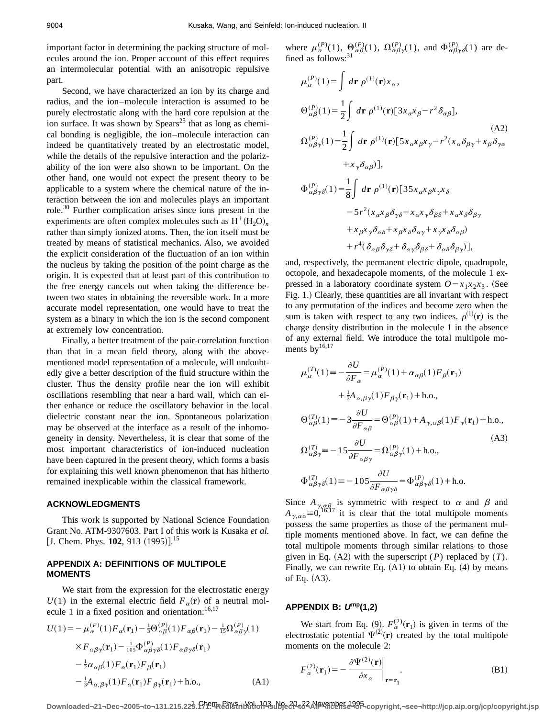important factor in determining the packing structure of molecules around the ion. Proper account of this effect requires an intermolecular potential with an anisotropic repulsive part.

Second, we have characterized an ion by its charge and radius, and the ion–molecule interaction is assumed to be purely electrostatic along with the hard core repulsion at the ion surface. It was shown by Spears<sup>25</sup> that as long as chemical bonding is negligible, the ion–molecule interaction can indeed be quantitatively treated by an electrostatic model, while the details of the repulsive interaction and the polarizability of the ion were also shown to be important. On the other hand, one would not expect the present theory to be applicable to a system where the chemical nature of the interaction between the ion and molecules plays an important role.<sup>30</sup> Further complication arises since ions present in the experiments are often complex molecules such as  $H^+(H_2O)$ <sup>n</sup> rather than simply ionized atoms. Then, the ion itself must be treated by means of statistical mechanics. Also, we avoided the explicit consideration of the fluctuation of an ion within the nucleus by taking the position of the point charge as the origin. It is expected that at least part of this contribution to the free energy cancels out when taking the difference between two states in obtaining the reversible work. In a more accurate model representation, one would have to treat the system as a binary in which the ion is the second component at extremely low concentration.

Finally, a better treatment of the pair-correlation function than that in a mean field theory, along with the abovementioned model representation of a molecule, will undoubtedly give a better description of the fluid structure within the cluster. Thus the density profile near the ion will exhibit oscillations resembling that near a hard wall, which can either enhance or reduce the oscillatory behavior in the local dielectric constant near the ion. Spontaneous polarization may be observed at the interface as a result of the inhomogeneity in density. Nevertheless, it is clear that some of the most important characteristics of ion-induced nucleation have been captured in the present theory, which forms a basis for explaining this well known phenomenon that has hitherto remained inexplicable within the classical framework.

### **ACKNOWLEDGMENTS**

This work is supported by National Science Foundation Grant No. ATM-9307603. Part I of this work is Kusaka *et al.* [J. Chem. Phys. **102**, 913 (1995)].<sup>15</sup>

# **APPENDIX A: DEFINITIONS OF MULTIPOLE MOMENTS**

We start from the expression for the electrostatic energy  $U(1)$  in the external electric field  $F_a(\mathbf{r})$  of a neutral molecule 1 in a fixed position and orientation:  $16,17$ 

$$
U(1) = -\mu_{\alpha}^{(P)}(1)F_{\alpha}(\mathbf{r}_{1}) - \frac{1}{3}\Theta_{\alpha\beta}^{(P)}(1)F_{\alpha\beta}(\mathbf{r}_{1}) - \frac{1}{15}\Omega_{\alpha\beta\gamma}^{(P)}(1)
$$
  
\n
$$
\times F_{\alpha\beta\gamma}(\mathbf{r}_{1}) - \frac{1}{105}\Phi_{\alpha\beta\gamma\delta}^{(P)}(1)F_{\alpha\beta\gamma\delta}(\mathbf{r}_{1}) - \frac{1}{2}\alpha_{\alpha\beta}(1)F_{\alpha}(\mathbf{r}_{1})F_{\beta}(\mathbf{r}_{1}) - \frac{1}{3}A_{\alpha,\beta\gamma}(1)F_{\alpha}(\mathbf{r}_{1})F_{\beta\gamma}(\mathbf{r}_{1}) + \text{h.o.},
$$
 (A1)

where  $\mu_{\alpha}^{(P)}(1)$ ,  $\Theta_{\alpha\beta}^{(P)}(1)$ ,  $\Omega_{\alpha\beta\gamma}^{(P)}(1)$ , and  $\Phi_{\alpha\beta\gamma\delta}^{(P)}(1)$  are defined as follows:<sup>31</sup>

$$
\mu_{\alpha}^{(P)}(1) = \int d\mathbf{r} \rho^{(1)}(\mathbf{r}) x_{\alpha},
$$
\n
$$
\Theta_{\alpha\beta}^{(P)}(1) = \frac{1}{2} \int d\mathbf{r} \rho^{(1)}(\mathbf{r}) [3x_{\alpha}x_{\beta} - r^2 \delta_{\alpha\beta}],
$$
\n(A2)\n
$$
\Omega_{\alpha\beta\gamma}^{(P)}(1) = \frac{1}{2} \int d\mathbf{r} \rho^{(1)}(\mathbf{r}) [5x_{\alpha}x_{\beta}x_{\gamma} - r^2 (x_{\alpha}\delta_{\beta\gamma} + x_{\beta}\delta_{\gamma\alpha} + x_{\gamma}\delta_{\alpha\beta})],
$$
\n
$$
\Phi_{\alpha\beta\gamma\delta}^{(P)}(1) = \frac{1}{8} \int d\mathbf{r} \rho^{(1)}(\mathbf{r}) [35x_{\alpha}x_{\beta}x_{\gamma}x_{\delta} - 5r^2 (x_{\alpha}x_{\beta}\delta_{\gamma\delta} + x_{\alpha}x_{\gamma}\delta_{\beta\delta} + x_{\alpha}x_{\delta}\delta_{\beta\gamma} + x_{\beta}x_{\gamma}\delta_{\alpha\beta} + x_{\beta}x_{\delta}\delta_{\alpha\gamma} + x_{\gamma}x_{\delta}\delta_{\alpha\beta}) + r^4 (\delta_{\alpha\beta}\delta_{\gamma\delta} + \delta_{\alpha\gamma}\delta_{\beta\delta} + \delta_{\alpha\delta}\delta_{\beta\gamma})],
$$
\n(A2)

and, respectively, the permanent electric dipole, quadrupole, octopole, and hexadecapole moments, of the molecule 1 expressed in a laboratory coordinate system  $O-x_1x_2x_3$ . (See Fig. 1.) Clearly, these quantities are all invariant with respect to any permutation of the indices and become zero when the sum is taken with respect to any two indices.  $\rho^{(1)}(\mathbf{r})$  is the charge density distribution in the molecule 1 in the absence of any external field. We introduce the total multipole moments by<sup>16,17</sup>

$$
\mu_{\alpha}^{(T)}(1) = -\frac{\partial U}{\partial F_{\alpha}} = \mu_{\alpha}^{(P)}(1) + \alpha_{\alpha\beta}(1)F_{\beta}(\mathbf{r}_{1})
$$

$$
+ \frac{1}{3}A_{\alpha,\beta\gamma}(1)F_{\beta\gamma}(\mathbf{r}_{1}) + \text{h.o.},
$$

$$
\Theta_{\alpha\beta}^{(T)}(1) = -3\frac{\partial U}{\partial F_{\alpha\beta}} = \Theta_{\alpha\beta}^{(P)}(1) + A_{\gamma,\alpha\beta}(1)F_{\gamma}(\mathbf{r}_{1}) + \text{h.o.},
$$

$$
\Omega_{\alpha\beta\gamma}^{(T)} = -15\frac{\partial U}{\partial F_{\alpha\beta\gamma}} = \Omega_{\alpha\beta\gamma}^{(P)}(1) + \text{h.o.},
$$

$$
\Phi_{\alpha\beta\gamma\delta}^{(T)}(1) = -105\frac{\partial U}{\partial F_{\alpha\beta\gamma\delta}} = \Phi_{\alpha\beta\gamma\delta}^{(P)}(1) + \text{h.o.}
$$

Since  $A_{\gamma,\alpha\beta}$  is symmetric with respect to  $\alpha$  and  $\beta$  and  $A_{\gamma,\alpha\alpha} = 0$ ,  $\overline{16,17}$  it is clear that the total multipole moments possess the same properties as those of the permanent multiple moments mentioned above. In fact, we can define the total multipole moments through similar relations to those given in Eq.  $(A2)$  with the superscript  $(P)$  replaced by  $(T)$ . Finally, we can rewrite Eq.  $(A1)$  to obtain Eq.  $(4)$  by means of Eq.  $(A3)$ .

# **APPENDIX B: <sup>U</sup>mp(1,2)**

We start from Eq. (9).  $F_{\alpha}^{(2)}(\mathbf{r}_1)$  is given in terms of the electrostatic potential  $\Psi^{(2)}({\bf r})$  created by the total multipole moments on the molecule 2:

$$
F_{\alpha}^{(2)}(\mathbf{r}_{1}) = -\left. \frac{\partial \Psi^{(2)}(\mathbf{r})}{\partial x_{\alpha}} \right|_{\mathbf{r} = \mathbf{r}_{1}}.
$$
 (B1)

Downloaded¬21¬Dec¬2005¬to¬131.215.22<del>5</del>. *Phe*. Redistrib al-Baubjee 20-t 22 November 54.995 copyright,¬see¬http://jcp.aip.org/jcp/copyright.jsp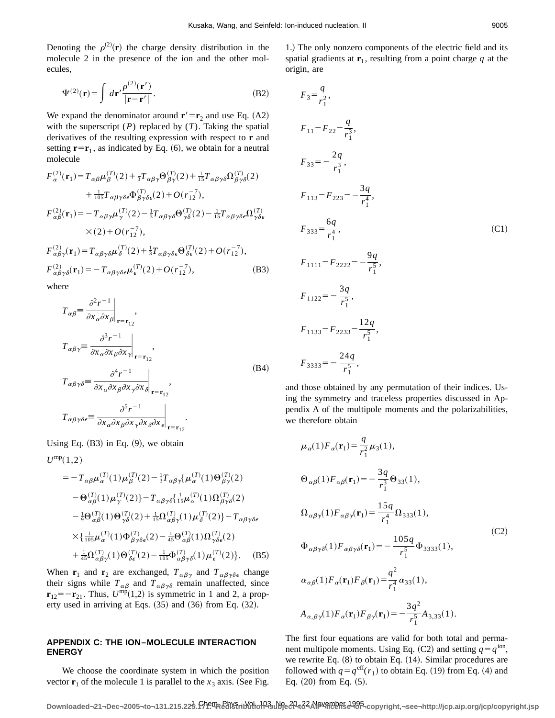Denoting the  $\rho^{(2)}(\mathbf{r})$  the charge density distribution in the molecule 2 in the presence of the ion and the other molecules,

$$
\Psi^{(2)}(\mathbf{r}) = \int d\mathbf{r}' \frac{\rho^{(2)}(\mathbf{r}')}{|\mathbf{r} - \mathbf{r}'|}.
$$
 (B2)

We expand the denominator around  $\mathbf{r}' = \mathbf{r}_2$  and use Eq. (A2) with the superscript  $(P)$  replaced by  $(T)$ . Taking the spatial derivatives of the resulting expression with respect to **r** and setting  $\mathbf{r} = \mathbf{r}_1$ , as indicated by Eq. (6), we obtain for a neutral molecule

$$
F_{\alpha}^{(2)}(\mathbf{r}_{1}) = T_{\alpha\beta}\mu_{\beta}^{(T)}(2) + \frac{1}{3}T_{\alpha\beta\gamma}\Theta_{\beta\gamma}^{(T)}(2) + \frac{1}{15}T_{\alpha\beta\gamma\delta}\Omega_{\beta\gamma\delta}^{(T)}(2)
$$
  
+  $\frac{1}{105}T_{\alpha\beta\gamma\delta\epsilon}\Phi_{\beta\gamma\delta\epsilon}^{(T)}(2) + O(r_{12}^{-7}),$   

$$
F_{\alpha\beta}^{(2)}(\mathbf{r}_{1}) = -T_{\alpha\beta\gamma}\mu_{\gamma}^{(T)}(2) - \frac{1}{3}T_{\alpha\beta\gamma\delta}\Theta_{\gamma\delta}^{(T)}(2) - \frac{1}{15}T_{\alpha\beta\gamma\delta\epsilon}\Omega_{\gamma\delta\epsilon}^{(T)}
$$
  

$$
\times (2) + O(r_{12}^{-7}),
$$
  

$$
F_{\alpha\beta\gamma}^{(2)}(\mathbf{r}_{1}) = T_{\alpha\beta\gamma\delta}\mu_{\delta}^{(T)}(2) + \frac{1}{3}T_{\alpha\beta\gamma\delta\epsilon}\Theta_{\delta\epsilon}^{(T)}(2) + O(r_{12}^{-7}),
$$
  

$$
F_{\alpha\beta\gamma\delta}^{(2)}(\mathbf{r}_{1}) = -T_{\alpha\beta\gamma\delta\epsilon}\mu_{\epsilon}^{(T)}(2) + O(r_{12}^{-7}),
$$
 (B3)

where

$$
T_{\alpha\beta} = \frac{\partial^2 r^{-1}}{\partial x_{\alpha} \partial x_{\beta}}\Big|_{\mathbf{r} = \mathbf{r}_{12}},
$$
  
\n
$$
T_{\alpha\beta\gamma} = \frac{\partial^3 r^{-1}}{\partial x_{\alpha} \partial x_{\beta} \partial x_{\gamma}}\Big|_{\mathbf{r} = \mathbf{r}_{12}},
$$
  
\n
$$
T_{\alpha\beta\gamma\delta} = \frac{\partial^4 r^{-1}}{\partial x_{\alpha} \partial x_{\beta} \partial x_{\gamma} \partial x_{\delta}}\Big|_{\mathbf{r} = \mathbf{r}_{12}},
$$
  
\n
$$
T_{\alpha\beta\gamma\delta\epsilon} = \frac{\partial^5 r^{-1}}{\partial x_{\alpha} \partial x_{\beta} \partial x_{\gamma} \partial x_{\delta} \partial x_{\epsilon}}\Big|_{\mathbf{r} = \mathbf{r}_{12}}.
$$
  
\n(B4)

Using Eq.  $(B3)$  in Eq.  $(9)$ , we obtain

$$
U^{\text{mp}}(1,2)
$$
  
=  $-T_{\alpha\beta}\mu_{\alpha}^{(T)}(1)\mu_{\beta}^{(T)}(2) - \frac{1}{3}T_{\alpha\beta\gamma}\{\mu_{\alpha}^{(T)}(1)\Theta_{\beta\gamma}^{(T)}(2)$   
 $- \Theta_{\alpha\beta}^{(T)}(1)\mu_{\gamma}^{(T)}(2)\} - T_{\alpha\beta\gamma\delta}\{\frac{1}{15}\mu_{\alpha}^{(T)}(1)\Omega_{\beta\gamma\delta}^{(T)}(2)$   
 $- \frac{1}{9}\Theta_{\alpha\beta}^{(T)}(1)\Theta_{\gamma\delta}^{(T)}(2) + \frac{1}{15}\Omega_{\alpha\beta\gamma}^{(T)}(1)\mu_{\delta}^{(T)}(2)\} - T_{\alpha\beta\gamma\delta\epsilon}$   
 $\times \{\frac{1}{105}\mu_{\alpha}^{(T)}(1)\Phi_{\beta\gamma\delta\epsilon}^{(T)}(2) - \frac{1}{45}\Theta_{\alpha\beta}^{(T)}(1)\Omega_{\gamma\delta\epsilon}^{(T)}(2)$   
 $+ \frac{1}{45}\Omega_{\alpha\beta\gamma}^{(T)}(1)\Theta_{\delta\epsilon}^{(T)}(2) - \frac{1}{105}\Phi_{\alpha\beta\gamma\delta}^{(T)}(1)\mu_{\epsilon}^{(T)}(2)\}.$  (B5)

When **r**<sub>1</sub> and **r**<sub>2</sub> are exchanged,  $T_{\alpha\beta\gamma}$  and  $T_{\alpha\beta\gamma\delta\epsilon}$  change their signs while  $T_{\alpha\beta}$  and  $T_{\alpha\beta\gamma\delta}$  remain unaffected, since  $\mathbf{r}_{12}$ = $-\mathbf{r}_{21}$ . Thus,  $U^{\text{mp}}(1,2)$  is symmetric in 1 and 2, a property used in arriving at Eqs.  $(35)$  and  $(36)$  from Eq.  $(32)$ .

# **APPENDIX C: THE ION–MOLECULE INTERACTION ENERGY**

We choose the coordinate system in which the position vector  $\mathbf{r}_1$  of the molecule 1 is parallel to the  $x_3$  axis. (See Fig.

1.) The only nonzero components of the electric field and its spatial gradients at  $\mathbf{r}_1$ , resulting from a point charge *q* at the origin, are

$$
F_3 = \frac{q}{r_1^2},
$$
  
\n
$$
F_{11} = F_{22} = \frac{q}{r_1^3},
$$
  
\n
$$
F_{33} = -\frac{2q}{r_1^3},
$$
  
\n
$$
F_{113} = F_{223} = -\frac{3q}{r_1^4},
$$
  
\n
$$
F_{333} = \frac{6q}{r_1^4},
$$
  
\n
$$
F_{1111} = F_{2222} = -\frac{9q}{r_1^5},
$$
  
\n
$$
F_{1122} = -\frac{3q}{r_1^5},
$$
  
\n
$$
F_{1133} = F_{2233} = \frac{12q}{r_1^5},
$$
  
\n
$$
F_{3333} = -\frac{24q}{r_1^5},
$$

and those obtained by any permutation of their indices. Using the symmetry and traceless properties discussed in Appendix A of the multipole moments and the polarizabilities, we therefore obtain

$$
\mu_{\alpha}(1)F_{\alpha}(\mathbf{r}_{1}) = \frac{q}{r_{1}^{2}}\mu_{3}(1),
$$
\n
$$
\Theta_{\alpha\beta}(1)F_{\alpha\beta}(\mathbf{r}_{1}) = -\frac{3q}{r_{1}^{3}}\Theta_{33}(1),
$$
\n
$$
\Omega_{\alpha\beta\gamma}(1)F_{\alpha\beta\gamma}(\mathbf{r}_{1}) = \frac{15q}{r_{1}^{4}}\Omega_{333}(1),
$$
\n
$$
\Phi_{\alpha\beta\gamma\delta}(1)F_{\alpha\beta\gamma\delta}(\mathbf{r}_{1}) = -\frac{105q}{r_{1}^{5}}\Phi_{3333}(1),
$$
\n
$$
\alpha_{\alpha\beta}(1)F_{\alpha}(\mathbf{r}_{1})F_{\beta}(\mathbf{r}_{1}) = \frac{q^{2}}{r_{1}^{4}}\alpha_{33}(1),
$$
\n
$$
A_{\alpha,\beta\gamma}(1)F_{\alpha}(\mathbf{r}_{1})F_{\beta\gamma}(\mathbf{r}_{1}) = -\frac{3q^{2}}{r_{1}^{5}}A_{3,33}(1).
$$
\n(A<sub>a,\beta\gamma</sub>(1)F\_{\alpha}(\mathbf{r}\_{1})F\_{\beta\gamma}(\mathbf{r}\_{1}) = -\frac{3q^{2}}{r\_{1}^{5}}A\_{3,33}(1).

The first four equations are valid for both total and permanent multipole moments. Using Eq. (C2) and setting  $q = q^{\text{ion}}$ , we rewrite Eq.  $(8)$  to obtain Eq.  $(14)$ . Similar procedures are followed with  $q = q^{\text{eff}}(r_1)$  to obtain Eq. (19) from Eq. (4) and Eq.  $(20)$  from Eq.  $(5)$ .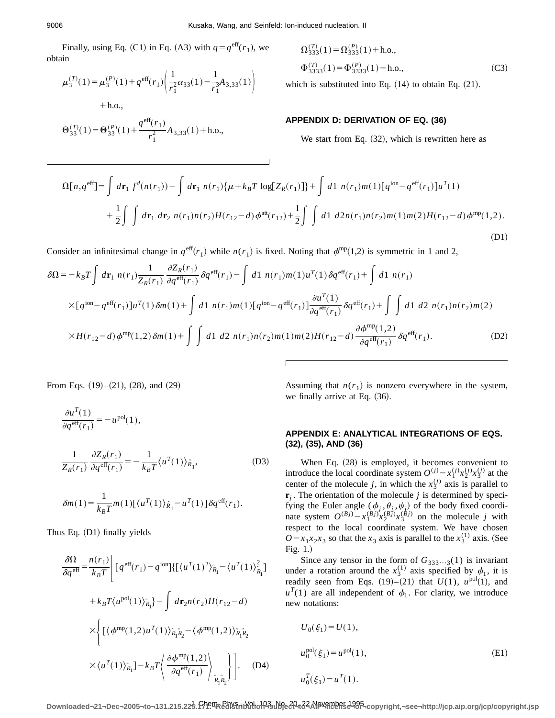Finally, using Eq. (C1) in Eq. (A3) with  $q = q^{\text{eff}}(r_1)$ , we obtain

$$
\mu_3^{(T)}(1) = \mu_3^{(P)}(1) + q^{\text{eff}}(r_1) \left( \frac{1}{r_1^2} \alpha_{33}(1) - \frac{1}{r_1^3} A_{3,33}(1) \right) + \text{h.o.},
$$
  

$$
\Theta_{33}^{(T)}(1) = \Theta_{33}^{(P)}(1) + \frac{q^{\text{eff}}(r_1)}{r_1^2} A_{3,33}(1) + \text{h.o.},
$$

$$
\Omega_{333}^{(T)}(1) = \Omega_{333}^{(P)}(1) + \text{h.o.},
$$
  
\n
$$
\Phi_{3333}^{(T)}(1) = \Phi_{3333}^{(P)}(1) + \text{h.o.},
$$
\n(C3)

which is substituted into Eq.  $(14)$  to obtain Eq.  $(21)$ .

# **APPENDIX D: DERIVATION OF EQ. (36)**

We start from Eq.  $(32)$ , which is rewritten here as

$$
\Omega[n,q^{\text{eff}}] = \int d\mathbf{r}_1 f^d(n(r_1)) - \int d\mathbf{r}_1 n(r_1) \{\mu + k_B T \log[Z_R(r_1)]\} + \int d1 n(r_1) m(1) [q^{\text{ion}} - q^{\text{eff}}(r_1)] u^T(1)
$$
  
+ 
$$
\frac{1}{2} \int \int d\mathbf{r}_1 d\mathbf{r}_2 n(r_1) n(r_2) H(r_{12} - d) \phi^{\text{att}}(r_{12}) + \frac{1}{2} \int \int d1 d2 n(r_1) n(r_2) m(1) m(2) H(r_{12} - d) \phi^{\text{mp}}(1,2).
$$
\n(D1)

Consider an infinitesimal change in  $q^{\text{eff}}(r_1)$  while  $n(r_1)$  is fixed. Noting that  $\phi^{\text{mp}}(1,2)$  is symmetric in 1 and 2,

$$
\delta\Omega = -k_B T \int d\mathbf{r}_1 \; n(r_1) \frac{1}{Z_R(r_1)} \frac{\partial Z_R(r_1)}{\partial q^{\text{eff}}(r_1)} \delta q^{\text{eff}}(r_1) - \int d1 \; n(r_1) m(1) u^T(1) \delta q^{\text{eff}}(r_1) + \int d1 \; n(r_1)
$$
  
 
$$
\times [q^{\text{ion}} - q^{\text{eff}}(r_1)] u^T(1) \delta m(1) + \int d1 \; n(r_1) m(1) [q^{\text{ion}} - q^{\text{eff}}(r_1)] \frac{\partial u^T(1)}{\partial q^{\text{eff}}(r_1)} \delta q^{\text{eff}}(r_1) + \int \int d1 \; d2 \; n(r_1) n(r_2) m(2)
$$
  
 
$$
\times H(r_{12} - d) \phi^{\text{mp}}(1, 2) \delta m(1) + \int \int d1 \; d2 \; n(r_1) n(r_2) m(1) m(2) H(r_{12} - d) \frac{\partial \phi^{\text{mp}}(1, 2)}{\partial q^{\text{eff}}(r_1)} \delta q^{\text{eff}}(r_1).
$$
 (D2)

From Eqs.  $(19)–(21)$ ,  $(28)$ , and  $(29)$ 

$$
\frac{\partial u^T(1)}{\partial q^{\text{eff}}(r_1)} = -u^{\text{pol}}(1),
$$
\n
$$
\frac{1}{Z_R(r_1)} \frac{\partial Z_R(r_1)}{\partial q^{\text{eff}}(r_1)} = -\frac{1}{k_B T} \langle u^T(1) \rangle_{\hat{R}_1},
$$
\n(D3)

$$
\delta m(1) = \frac{1}{k_B T} m(1) [\langle u^T(1) \rangle_{\hat{R}_1} - u^T(1)] \delta q^{\text{eff}}(r_1).
$$

Thus Eq.  $(D1)$  finally yields

$$
\frac{\delta\Omega}{\delta q^{\text{eff}}} = \frac{n(r_1)}{k_B T} \Bigg[ \left[ q^{\text{eff}}(r_1) - q^{\text{ion}} \right] \left\{ \left[ \langle u^T(1)^2 \rangle_{\hat{R}_1} - \langle u^T(1) \rangle_{\hat{R}_1}^2 \right] \right.
$$

$$
+ k_B T \langle u^{\text{pol}}(1) \rangle_{\hat{R}_1} \Bigg\} - \int d\mathbf{r}_2 n(r_2) H(r_{12} - d)
$$

$$
\times \Bigg\{ \left[ \langle \phi^{\text{mp}}(1,2) u^T(1) \rangle_{\hat{R}_1 \hat{R}_2} - \langle \phi^{\text{mp}}(1,2) \rangle_{\hat{R}_1 \hat{R}_2} \right.
$$

$$
\times \langle u^T(1) \rangle_{\hat{R}_1} \Bigg] - k_B T \Bigg\{ \frac{\partial \phi^{\text{mp}}(1,2)}{\partial q^{\text{eff}}(r_1)} \Bigg\}_{\hat{R}_1 \hat{R}_2} \Bigg\} \Bigg]. \quad (D4)
$$

Assuming that  $n(r_1)$  is nonzero everywhere in the system, we finally arrive at Eq.  $(36)$ .

# **APPENDIX E: ANALYTICAL INTEGRATIONS OF EQS. (32), (35), AND (36)**

When Eq. (28) is employed, it becomes convenient to introduce the local coordinate system  $O^{(j)} - x_1^{(j)} x_2^{(j)} x_3^{(j)}$  at the center of the molecule *j*, in which the  $x_3^{(j)}$  axis is parallel to  $\mathbf{r}_j$ . The orientation of the molecule *j* is determined by specifying the Euler angle ( $\phi_i$ ,  $\theta_i$ ,  $\psi_i$ ) of the body fixed coordinate system  $O^{(Bj)} - x_1^{(Bj)}x_2^{(Bj)}x_3^{(Bj)}$  on the molecule *j* with respect to the local coordinate system. We have chosen  $O-x_1x_2x_3$  so that the  $x_3$  axis is parallel to the  $x_3^{(1)}$  axis. (See Fig.  $1.$ )

Since any tensor in the form of  $G_{333\cdots3}(1)$  is invariant under a rotation around the  $x_3^{(1)}$  axis specified by  $\phi_1$ , it is readily seen from Eqs.  $(19)$ – $(21)$  that  $U(1)$ ,  $u<sup>pol</sup>(1)$ , and  $u<sup>T</sup>(1)$  are all independent of  $\phi_1$ . For clarity, we introduce new notations:

$$
U_0(\xi_1) = U(1),
$$
  
\n
$$
u_0^{\text{pol}}(\xi_1) = u^{\text{pol}}(1),
$$
  
\n
$$
u_0^T(\xi_1) = u^T(1).
$$
\n(E1)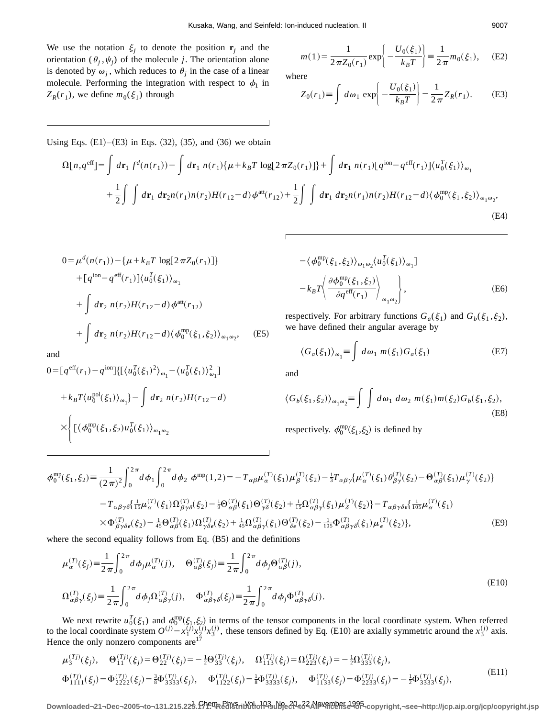We use the notation  $\xi_j$  to denote the position  $\mathbf{r}_j$  and the orientation ( $\theta_j$ , $\psi_j$ ) of the molecule *j*. The orientation alone is denoted by  $\omega_i$ , which reduces to  $\theta_i$  in the case of a linear molecule. Performing the integration with respect to  $\phi_1$  in  $Z_R(r_1)$ , we define  $m_0(\xi_1)$  through

$$
m(1) = \frac{1}{2\pi Z_0(r_1)} \exp\left\{-\frac{U_0(\xi_1)}{k_B T}\right\} \equiv \frac{1}{2\pi} m_0(\xi_1), \quad \text{(E2)}
$$

where

$$
Z_0(r_1) \equiv \int d\omega_1 \exp\left\{-\frac{U_0(\xi_1)}{k_B T}\right\} = \frac{1}{2\pi} Z_R(r_1). \tag{E3}
$$

Using Eqs.  $(E1)$ – $(E3)$  in Eqs.  $(32)$ ,  $(35)$ , and  $(36)$  we obtain

$$
\Omega[n, q^{\text{eff}}] = \int d\mathbf{r}_1 f^d(n(r_1)) - \int d\mathbf{r}_1 n(r_1) {\mu + k_B T \log[2\pi Z_0(r_1)] } + \int d\mathbf{r}_1 n(r_1) [q^{\text{ion}} - q^{\text{eff}}(r_1)] {\langle u_0^T(\xi_1) \rangle_{\omega_1}} \n+ \frac{1}{2} \int \int d\mathbf{r}_1 d\mathbf{r}_2 n(r_1) n(r_2) H(r_{12} - d) \phi^{\text{att}}(r_{12}) + \frac{1}{2} \int \int d\mathbf{r}_1 d\mathbf{r}_2 n(r_1) n(r_2) H(r_{12} - d) {\langle \phi_0^{\text{mp}}(\xi_1, \xi_2) \rangle_{\omega_1 \omega_2}},
$$
\n(E4)

$$
0 = \mu^{d}(n(r_{1})) - {\mu + k_{B}T \log[2 \pi Z_{0}(r_{1})]}
$$
  
+  $[q^{\text{ion}} - q^{\text{eff}}(r_{1})] \langle u_{0}^{T}(\xi_{1}) \rangle_{\omega_{1}}$   
+  $\int d\mathbf{r}_{2} n(r_{2}) H(r_{12} - d) \phi^{\text{att}}(r_{12})$   
+  $\int d\mathbf{r}_{2} n(r_{2}) H(r_{12} - d) \langle \phi_{0}^{\text{mp}}(\xi_{1}, \xi_{2}) \rangle_{\omega_{1} \omega_{2}},$  (E5)

and

$$
0 = [q^{\text{eff}}(r_1) - q^{\text{ion}}] \{ [\langle u_0^T(\xi_1)^2 \rangle_{\omega_1} - \langle u_0^T(\xi_1) \rangle_{\omega_1}^2 ]
$$
  
+  $k_B T \langle u_0^{\text{pol}}(\xi_1) \rangle_{\omega_1} \} - \int d\mathbf{r}_2 n(r_2) H(r_{12} - d)$   

$$
\times \left\{ [\langle \phi_0^{\text{mp}}(\xi_1, \xi_2) u_0^T(\xi_1) \rangle_{\omega_1 \omega_2} \right\}
$$

$$
-\langle \phi_0^{\text{mp}}(\xi_1, \xi_2) \rangle_{\omega_1 \omega_2} \langle u_0^T(\xi_1) \rangle_{\omega_1}]
$$

$$
-k_B T \left\langle \frac{\partial \phi_0^{\text{mp}}(\xi_1, \xi_2)}{\partial q^{\text{eff}}(r_1)} \rangle_{\omega_1 \omega_2} \right\rangle,
$$
(E6)

respectively. For arbitrary functions  $G_a(\xi_1)$  and  $G_b(\xi_1, \xi_2)$ , we have defined their angular average by

$$
\langle G_a(\xi_1) \rangle_{\omega_1} = \int d\omega_1 m(\xi_1) G_a(\xi_1)
$$
 (E7)

and

$$
\langle G_b(\xi_1, \xi_2) \rangle_{\omega_1 \omega_2} = \int \int d\omega_1 d\omega_2 m(\xi_1) m(\xi_2) G_b(\xi_1, \xi_2),
$$
\n(E8)

respectively.  $\phi_0^{\text{mp}}(\xi_1, \xi_2)$  is defined by

$$
\phi_0^{\text{mp}}(\xi_1, \xi_2) = \frac{1}{(2\pi)^2} \int_0^{2\pi} d\phi_1 \int_0^{2\pi} d\phi_2 \, \phi^{\text{mp}}(1, 2) = -T_{\alpha\beta}\mu_{\alpha}^{(T)}(\xi_1)\mu_{\beta}^{(T)}(\xi_2) - \frac{1}{3}T_{\alpha\beta\gamma}\{\mu_{\alpha}^{(T)}(\xi_1)\theta_{\beta\gamma}^{(T)}(\xi_2) - \Theta_{\alpha\beta}^{(T)}(\xi_1)\mu_{\gamma}^{(T)}(\xi_2)\}
$$

$$
-T_{\alpha\beta\gamma\delta} \left\{ \frac{1}{15} \mu_{\alpha}^{(T)}(\xi_1) \Omega_{\beta\gamma\delta}^{(T)}(\xi_2) - \frac{1}{9} \Theta_{\alpha\beta}^{(T)}(\xi_1) \Theta_{\gamma\delta}^{(T)}(\xi_2) + \frac{1}{15} \Omega_{\alpha\beta\gamma}^{(T)}(\xi_1)\mu_{\delta}^{(T)}(\xi_2)\} - T_{\alpha\beta\gamma\delta\epsilon} \left\{ \frac{1}{105} \mu_{\alpha}^{(T)}(\xi_1) \right\}
$$

$$
\times \Phi_{\beta\gamma\delta\epsilon}^{(T)}(\xi_2) - \frac{1}{45} \Theta_{\alpha\beta}^{(T)}(\xi_1) \Omega_{\gamma\delta\epsilon}^{(T)}(\xi_2) + \frac{1}{45} \Omega_{\alpha\beta\gamma}^{(T)}(\xi_1) \Theta_{\delta\epsilon}^{(T)}(\xi_2) - \frac{1}{105} \Phi_{\alpha\beta\gamma\delta}^{(T)}(\xi_1)\mu_{\epsilon}^{(T)}(\xi_2)\}, \tag{E9}
$$

where the second equality follows from Eq.  $(B5)$  and the definitions

$$
\mu_{\alpha}^{(T)}(\xi_j) \equiv \frac{1}{2\pi} \int_0^{2\pi} d\phi_j \mu_{\alpha}^{(T)}(j), \quad \Theta_{\alpha\beta}^{(T)}(\xi_j) \equiv \frac{1}{2\pi} \int_0^{2\pi} d\phi_j \Theta_{\alpha\beta}^{(T)}(j),
$$
\n
$$
\Omega_{\alpha\beta\gamma}^{(T)}(\xi_j) \equiv \frac{1}{2\pi} \int_0^{2\pi} d\phi_j \Omega_{\alpha\beta\gamma}^{(T)}(j), \quad \Phi_{\alpha\beta\gamma\delta}^{(T)}(\xi_j) \equiv \frac{1}{2\pi} \int_0^{2\pi} d\phi_j \Phi_{\alpha\beta\gamma\delta}^{(T)}(j).
$$
\n(E10)

We next rewrite  $u_0^T(\xi_1)$  and  $\phi_0^{mp}(\xi_1,\xi_2)$  in terms of the tensor components in the local coordinate system. When referred to the local coordinate system  $O^{(j)} - x_1^{(j)} x_2^{(j)} x_3^{(j)}$ , these tensors defined by Eq. (E10) are axially symmetric around the  $x_3^{(j)}$  axis. Hence the only nonzero components  $are^{17}$ 

$$
\mu_3^{(Tj)}(\xi_j), \quad \Theta_{11}^{(Tj)}(\xi_j) = \Theta_{22}^{(Tj)}(\xi_j) = -\frac{1}{2}\Theta_{33}^{(Tj)}(\xi_j), \quad \Omega_{113}^{(Tj)}(\xi_j) = \Omega_{223}^{(Tj)}(\xi_j) = -\frac{1}{2}\Omega_{333}^{(Tj)}(\xi_j), \n\Phi_{1111}^{(Tj)}(\xi_j) = \Phi_{2222}^{(Tj)}(\xi_j) = \frac{3}{8}\Phi_{3333}^{(Tj)}(\xi_j), \quad \Phi_{1122}^{(Tj)}(\xi_j) = \frac{1}{8}\Phi_{3333}^{(Tj)}(\xi_j), \quad \Phi_{1133}^{(Tj)}(\xi_j) = \Phi_{2233}^{(Tj)}(\xi_j) = -\frac{1}{2}\Phi_{3333}^{(Tj)}(\xi_j),
$$
\n(E11)

Downloaded¬21¬Dec¬2005¬to¬131.215.225. *Phe*!!RedNstrib\RholfBau\lyeeQue2Apxenedersed995-copyright,¬see¬http://jcp.aip.org/jcp/copyright.jsp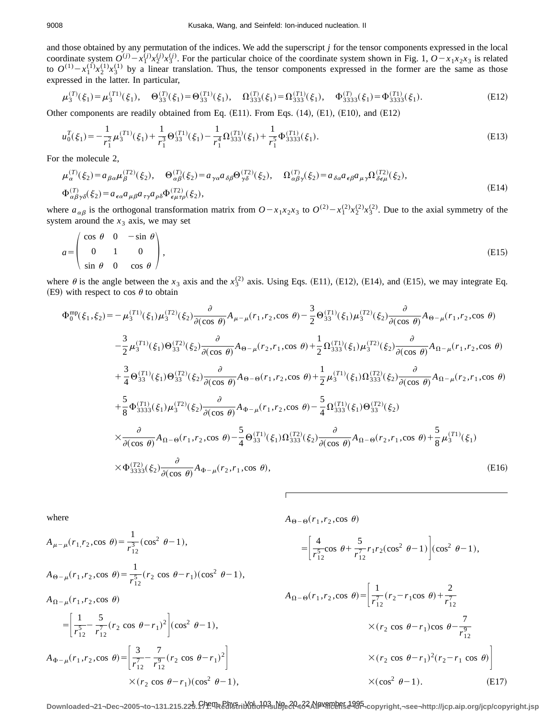coordinate system  $O^{(j)} - x_1^{(j)}x_2^{(j)}x_3^{(j)}$ . For the particular choice of the coordinate system shown in Fig. 1,  $O - x_1x_2x_3$  is related to  $O^{(1)} - x_1^{(1)} x_2^{(1)} x_3^{(1)}$  by a linear translation. Thus, the tensor components expressed in the former are the same as those expressed in the latter. In particular,

$$
\mu_3^{(T)}(\xi_1) = \mu_3^{(T1)}(\xi_1), \quad \Theta_{33}^{(T)}(\xi_1) = \Theta_{33}^{(T1)}(\xi_1), \quad \Omega_{333}^{(T)}(\xi_1) = \Omega_{333}^{(T1)}(\xi_1), \quad \Phi_{3333}^{(T)}(\xi_1) = \Phi_{3333}^{(T1)}(\xi_1). \tag{E12}
$$

Other components are readily obtained from Eq.  $(E11)$ . From Eqs.  $(14)$ ,  $(E10)$ ,  $(E10)$ , and  $(E12)$ 

$$
u_0^T(\xi_1) = -\frac{1}{r_1^2} \mu_3^{(T1)}(\xi_1) + \frac{1}{r_1^3} \Theta_{33}^{(T1)}(\xi_1) - \frac{1}{r_1^4} \Omega_{333}^{(T1)}(\xi_1) + \frac{1}{r_1^5} \Phi_{3333}^{(T1)}(\xi_1).
$$
 (E13)

For the molecule 2,

$$
\mu_{\alpha}^{(T)}(\xi_2) = a_{\beta\alpha}\mu_{\beta}^{(T2)}(\xi_2), \quad \Theta_{\alpha\beta}^{(T)}(\xi_2) = a_{\gamma\alpha}a_{\delta\beta}\Theta_{\gamma\delta}^{(T2)}(\xi_2), \quad \Omega_{\alpha\beta\gamma}^{(T)}(\xi_2) = a_{\delta\alpha}a_{\epsilon\beta}a_{\mu\gamma}\Omega_{\delta\epsilon\mu}^{(T2)}(\xi_2),
$$
\n
$$
\Phi_{\alpha\beta\gamma\delta}^{(T)}(\xi_2) = a_{\epsilon\alpha}a_{\mu\beta}a_{\tau\gamma}a_{\rho\delta}\Phi_{\epsilon\mu\tau\rho}^{(T2)}(\xi_2), \tag{E14}
$$

where  $a_{\alpha\beta}$  is the orthogonal transformation matrix from  $O-x_1x_2x_3$  to  $O^{(2)}-x_1^{(2)}x_2^{(2)}x_3^{(2)}$ . Due to the axial symmetry of the system around the  $x_3$  axis, we may set

$$
a = \begin{pmatrix} \cos \theta & 0 & -\sin \theta \\ 0 & 1 & 0 \\ \sin \theta & 0 & \cos \theta \end{pmatrix},
$$
 (E15)

where  $\theta$  is the angle between the  $x_3$  axis and the  $x_3^{(2)}$  axis. Using Eqs. (E11), (E12), (E14), and (E15), we may integrate Eq. (E9) with respect to cos  $\theta$  to obtain

$$
\Phi_0^{\text{mp}}(\xi_1, \xi_2) = -\mu_3^{(T1)}(\xi_1)\mu_3^{(T2)}(\xi_2)\frac{\partial}{\partial(\cos\theta)}A_{\mu-\mu}(r_1, r_2, \cos\theta) - \frac{3}{2}\Theta_{33}^{(T1)}(\xi_1)\mu_3^{(T2)}(\xi_2)\frac{\partial}{\partial(\cos\theta)}A_{\Theta-\mu}(r_1, r_2, \cos\theta) \n- \frac{3}{2}\mu_3^{(T1)}(\xi_1)\Theta_{33}^{(T2)}(\xi_2)\frac{\partial}{\partial(\cos\theta)}A_{\Theta-\mu}(r_2, r_1, \cos\theta) + \frac{1}{2}\Omega_{333}^{(T1)}(\xi_1)\mu_3^{(T2)}(\xi_2)\frac{\partial}{\partial(\cos\theta)}A_{\Omega-\mu}(r_1, r_2, \cos\theta) \n+ \frac{3}{4}\Theta_{33}^{(T1)}(\xi_1)\Theta_{33}^{(T2)}(\xi_2)\frac{\partial}{\partial(\cos\theta)}A_{\Theta-\Theta}(r_1, r_2, \cos\theta) + \frac{1}{2}\mu_3^{(T1)}(\xi_1)\Omega_{333}^{(T2)}(\xi_2)\frac{\partial}{\partial(\cos\theta)}A_{\Omega-\mu}(r_2, r_1, \cos\theta) \n+ \frac{5}{8}\Phi_{3333}^{(T1)}(\xi_1)\mu_3^{(T2)}(\xi_2)\frac{\partial}{\partial(\cos\theta)}A_{\Phi-\mu}(r_1, r_2, \cos\theta) - \frac{5}{4}\Omega_{333}^{(T1)}(\xi_1)\Theta_{33}^{(T2)}(\xi_2) \n\times \frac{\partial}{\partial(\cos\theta)}A_{\Omega-\Theta}(r_1, r_2, \cos\theta) - \frac{5}{4}\Theta_{33}^{(T1)}(\xi_1)\Omega_{333}^{(T2)}(\xi_2)\frac{\partial}{\partial(\cos\theta)}A_{\Omega-\Theta}(r_2, r_1, \cos\theta) + \frac{5}{8}\mu_3^{(T1)}(\xi_1) \n\times \Phi_{3333}^{(T2)}(\xi_2)\frac{\partial}{\partial(\cos\theta)}A_{\Phi-\mu}(r_2, r_1, \cos\theta), \tag{E16}
$$

where

$$
A_{\mu-\mu}(r_1, r_2, \cos \theta) = \frac{1}{r_{12}^3} (\cos^2 \theta - 1),
$$
  
\n
$$
A_{\theta-\mu}(r_1, r_2, \cos \theta) = \frac{1}{r_{12}^5} (r_2 \cos \theta - r_1)(\cos^2 \theta - 1),
$$
  
\n
$$
A_{\Omega-\mu}(r_1, r_2, \cos \theta)
$$
  
\n
$$
= \left[ \frac{1}{r_{12}^5} - \frac{5}{r_{12}^7} (r_2 \cos \theta - r_1)^2 \right] (\cos^2 \theta - 1),
$$
  
\n
$$
A_{\Phi-\mu}(r_1, r_2, \cos \theta) = \left[ \frac{3}{r_{12}^7} - \frac{7}{r_{12}^9} (r_2 \cos \theta - r_1)^2 \right]
$$

 $\times (r_2 \cos \theta - r_1)(\cos^2 \theta - 1),$ 

 $A_{\Theta - \Theta}(r_1, r_2, \cos \theta)$ 

$$
= \left[ \frac{4}{r_{12}^5} \cos \theta + \frac{5}{r_{12}^7} r_1 r_2 (\cos^2 \theta - 1) \right] (\cos^2 \theta - 1),
$$

$$
A_{\Omega-\Theta}(r_1, r_2, \cos \theta) = \left[\frac{1}{r_{12}^7} (r_2 - r_1 \cos \theta) + \frac{2}{r_{12}^7}\right]
$$
  
×(r<sub>2</sub> cos  $\theta - r_1$ )cos  $\theta - \frac{7}{r_{12}^9}$   
×(r<sub>2</sub> cos  $\theta - r_1$ )<sup>2</sup>(r<sub>2</sub> - r<sub>1</sub> cos  $\theta$ )  
×(cos<sup>2</sup>  $\theta$ -1). (E17)

Downloaded¬21¬Dec¬2005¬to¬131.215.225. *Phe*!!Redistribution<sup>03</sup> J. Let 22 November 1995 copyright,¬see¬http://jcp.aip.org/jcp/copyright.jsp